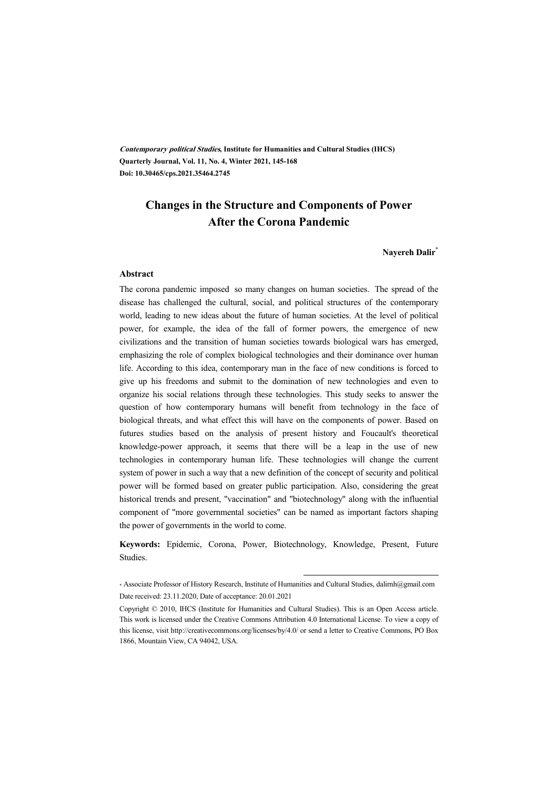**Contemporary political Studies, Institute for Humanities and Cultural Studies (IHCS) Quarterly Journal, Vol. 11, No. 4, Winter 2021, 145-168 Doi: 10.30465/cps.2021.35464.2745**

# **Changes in the Structure and Components of Power After the Corona Pandemic**

### **Nayereh Dalir\***

#### **Abstract**

The corona pandemic imposed so many changes on human societies. The spread of the disease has challenged the cultural, social, and political structures of the contemporary world, leading to new ideas about the future of human societies. At the level of political power, for example, the idea of the fall of former powers, the emergence of new civilizations and the transition of human societies towards biological wars has emerged, emphasizing the role of complex biological technologies and their dominance over human life. According to this idea, contemporary man in the face of new conditions is forced to give up his freedoms and submit to the domination of new technologies and even to organize his social relations through these technologies. This study seeks to answer the question of how contemporary humans will benefit from technology in the face of biological threats, and what effect this will have on the components of power. Based on futures studies based on the analysis of present history and Foucault's theoretical knowledge-power approach, it seems that there will be a leap in the use of new technologies in contemporary human life. These technologies will change the current system of power in such a way that a new definition of the concept of security and political power will be formed based on greater public participation. Also, considering the great historical trends and present, "vaccination" and "biotechnology" along with the influential component of "more governmental societies" can be named as important factors shaping the power of governments in the world to come.

**Keywords:** Epidemic, Corona, Power, Biotechnology, Knowledge, Present, Future Studies.

.

<sup>\*</sup> Associate Professor of History Research, Institute of Humanities and Cultural Studies, dalirnh@gmail.com Date received: 23.11.2020, Date of acceptance: 20.01.2021

Copyright © 2010, IHCS (Institute for Humanities and Cultural Studies). This is an Open Access article. This work is licensed under the Creative Commons Attribution 4.0 International License. To view a copy of this license, visit http://creativecommons.org/licenses/by/4.0/ or send a letter to Creative Commons, PO Box 1866, Mountain View, CA 94042, USA.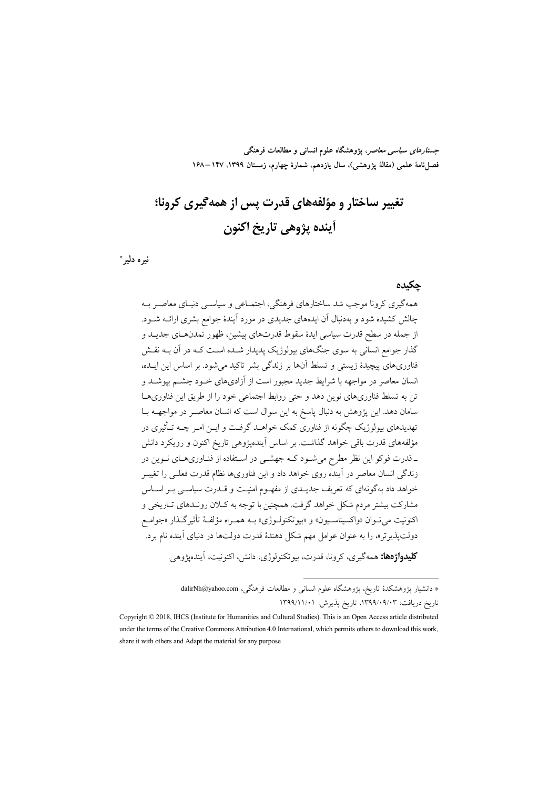جس*تارهای سیاسی معاصر*، پژوهشگاه علوم انسانی و مطالعات فرهنگی فصل نامة علمي (مقالة يژوهشي)، سال يازدهم، شمارة چهارم. زمستان ١٣٩٩. ١٤٧ –١۶٨

تغییر ساختار و مؤلفههای قدرت پس از همه گیری کرونا؛ أينده يژوهي تاريخ اكنون

نيره دلير \*

## حكىدە

همه گیری کرونا موجب شد ساختارهای فرهنگی، اجتمـاعی و سیاسـی دنیـای معاصـر بـه چالش کشیده شود و بهدنبال آن ایدههای جدیدی در مورد آیندهٔ جوامع بشری ارائــه شــود. از جمله در سطح قدرت سیاسی ایدهٔ سقوط قدرتهای پیشین، ظهور تمدنهـای جدیـد و گذار جوامع انسانی به سوی جنگهای بیولوژیک پدیدار شـده اسـت کـه در آن بــه نقــش .<br>فناوریهای پیچیدهٔ زیستی و تسلط آنها بر زندگی بشر تاکید میشود. بر اساس این ایــده، انسان معاصر در مواجهه با شرایط جدید مجبور است از آزادیهای خــود چشــم بیوشــد و تن به تسلط فناوريهاي نوين دهد و حتى روابط اجتماعي خود را از طريق اين فناوري هــا سامان دهد. این یژوهش به دنبال یاسخ به این سوال است که انسان معاصـر در مواجهــه بــا تهدیدهای بیولوژیک چگونه از فناوری کمک خواهـد گرفـت و ایــن امـر چــه تــأثیری در مؤلفههای قدرت باقی خواهد گذاشت. بر اساس آیندهپژوهی تاریخ اکنون و رویکرد دانش ـ قدرت فوکو این نظر مطرح می شـود کـه جهشـی در اسـتفاده از فنـاوریهـای نـوین در زندگی انسان معاصر در آینده روی خواهد داد و این فناوریها نظام قدرت فعلـی را تغییــر خواهد داد بهگونهای که تعریف جدیــدی از مفهــوم امنیــت و قــدرت سیاســی بــر اســاس مشارکت بیشتر مردم شکل خواهد گرفت. همچنین با توجه به کـلان رونـدهای تـاریخی و اکنونیت می تــوان «واکسیناســیون» و «بیوتکنولــوژی» بــه همــراه مؤلفــهٔ تأثیرگــذار «جوامــع دولتپذیرتر»، را به عنوان عوامل مهم شکل دهندهٔ قدرت دولتها در دنیای آینده نام برد.

**کليدواژهها:** همهگيري، کرونا، قدرت، بيوتکنولوژي، دانش، اکنونيت، آيندهيژوهي.

<sup>\*</sup> دانشیار پژوهشکدهٔ تاریخ، پژوهشگاه علوم انسانی و مطالعات فرهنگی، dalirNh@yahoo.com تاريخ دريافت: ۰۹/۰۹/۰۹/۰۳۹۹، تاريخ پذيرش: ۱۳۹۹/۱۱/۰۱

Copyright © 2018, IHCS (Institute for Humanities and Cultural Studies). This is an Open Access article distributed under the terms of the Creative Commons Attribution 4.0 International, which permits others to download this work, share it with others and Adapt the material for any purpose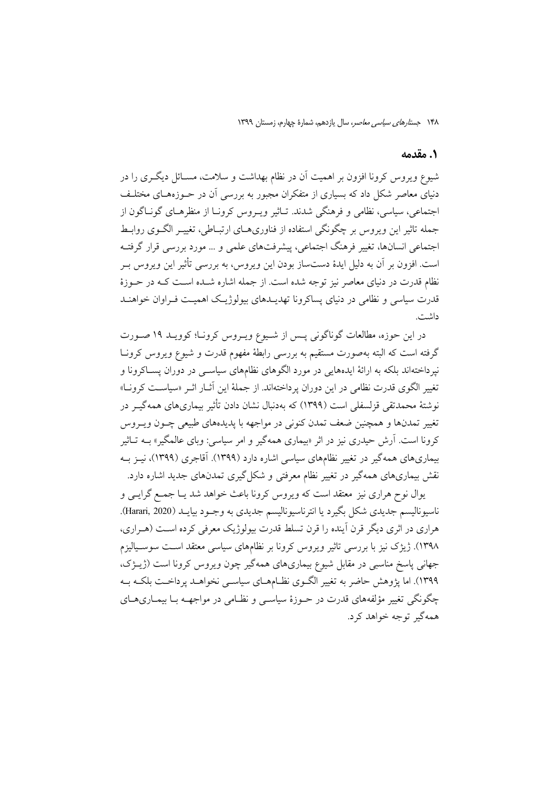### 1. مقدمه

شیوع ویروس کرونا افزون بر اهمیت آن در نظام بهداشت و سلامت، مســائل دیگــری را در دنیای معاصر شکل داد که بسیاری از متفکران مجبور به بررسی آن در حــوزههــای مختلــف اجتماعی، سیاسی، نظامی و فرهنگی شدند. تـاثیر ویـروس کرونـا از منظرهـای گونـاگون از جمله تاثیر این ویروس بر چگونگی استفاده از فناوریهـای ارتبـاطی، تغییـر الگـوی روابـط اجتماعی انسانها، تغییر فرهنگ اجتماعی، پیشرفتهای علمی و … مورد بررسی قرار گرفتـه است. افزون بر آن به دلیل ایدهٔ دستساز بودن این ویروس، به بررسی تأثیر این ویروس بـر نظام قدرت در دنیای معاصر نیز توجه شده است. از جمله اشاره شـده اسـت کـه در حــوزهٔ قدرت سیاسی و نظامی در دنیای پساکرونا تهدیــدهای بیولوژیــک اهمیــت فــراوان خواهنــد داشت.

در این حوزه، مطالعات گوناگونی پس از شیوع ویـروس کرونـا؛ کوویـد ۱۹ صـورت گرفته است که البته بهصورت مستقیم به بررسی رابطهٔ مفهوم قدرت و شیوع ویروس کرونـا نیرداختهاند بلکه به ارائهٔ ایدههایی در مورد الگوهای نظامهای سیاســی در دوران یســاکرونا و تغییر الگوی قدرت نظامی در این دوران یرداختهاند. از جملهٔ این آثــار اثــر «سیاســت کرونــا» نوشتهٔ محمدتقی قزلسفلی است (۱۳۹۹) که بهدنبال نشان دادن تأثیر بیماریهای همهگیـر در تغییر تمدنها و همچنین ضعف تمدن کنونی در مواجهه با پدیدههای طبیعی چــون ویــروس کرونا است. اَرش حیدری نیز در اثر «بیماری همهگیر و امر سیاسی: وبای عالمگیر» بــه تــاثیر بیماریهای همهگیر در تغییر نظامهای سیاسی اشاره دارد (۱۳۹۹). آقاجری (۱۳۹۹)، نیــز بــه نقش بیماریهای همهگیر در تغییر نظام معرفتی و شکل گیری تمدنهای جدید اشاره دارد.

یوال نوح هراری نیز ًمعتقد است که ویروس کرونا باعث خواهد شد یـا جمـع گرایـی و ناسيوناليسم جديدي شكل بگيرد يا انترناسيوناليسم جديدي به وجـود بيايــد (Harari, 2020). هراري در اثري ديگر قرن آينده را قرن تسلط قدرت بيولوژيک معرفي کرده است (هـراري، ۱۳۹۸). ژیژک نیز با بررسی تاثیر ویروس کرونا بر نظامهای سیاسی معتقد است سوسـیالیزم جهاني پاسخ مناسبي در مقابل شيوع بيماريهاي همهگير چون ويروس كرونا است (ژيــژک، ۱۳۹۹). اما یژوهش حاضر به تغییر الگـوی نظـامهـای سیاسـی نخواهـد پرداخـت بلکـه بـه چگونگی تغییر مؤلفههای قدرت در حـوزهٔ سیاسـی و نظـامی در مواجهــه بـا بیمـاریهـای همهگير توجه خواهد کړد.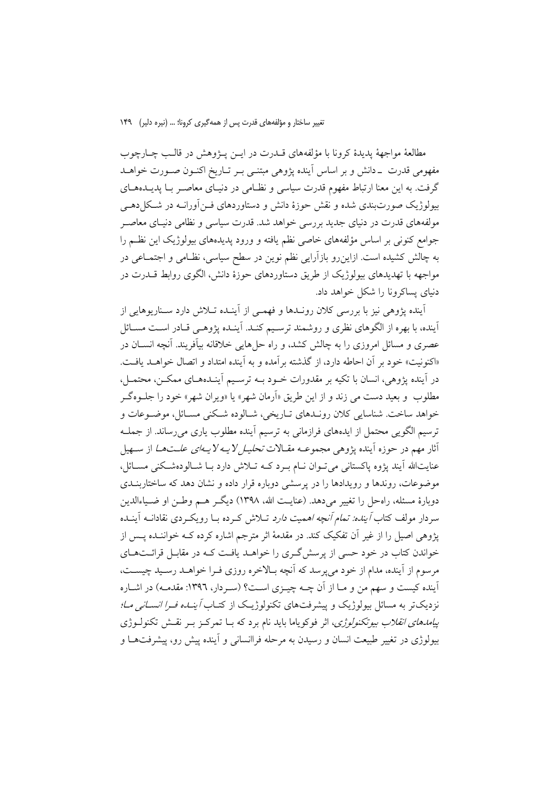مطالعهٔ مواجههٔ پدیدهٔ کرونا با مؤلفههای قــدرت در ایــن پــژوهش در قالــب چــارچوب مفهومی قدرت ۔دانش و بر اساس آینده پژوهی مبتنـی بـر تــاریخ اکنــون صــورت خواهــد گرفت. به این معنا ارتباط مفهوم قدرت سیاسی و نظـامی در دنیـای معاصـر بـا پدیــدههـای بیولوژیک صورتبندی شده و نقش حوزهٔ دانش و دستاوردهای فــن|ورانــه در شــکل(دهــی مولفههای قدرت در دنیای جدید بررسی خواهد شد. قدرت سیاسی و نظامی دنیـای معاصـر جوامع کنونی بر اساس مؤلفههای خاصی نظم یافته و ورود پدیدههای بیولوژیک این نظـم را به چالش کشیده است. ازاین٫رو بازآرایی نظم نوین در سطح سیاسی، نظـامی و اجتمـاعی در مواجهه با تهدیدهای بیولوژیک از طریق دستاوردهای حوزهٔ دانش، الگوی روابط قــدرت در دنیای پساکرونا را شکل خواهد داد.

اًینده پژوهی نیز با بررسی کلان رونـدها و فهمـی از اینـده تـلاش دارد سـناریوهایی از .<br>آینده، با بهره از الگوهای نظری و روشمند ترسـیم کنـد. آینـده پژوهـی قـادر اسـت مســائل عصری و مسائل امروزی را به چالش کشد، و راه حلهایی خلاقانه بیآفریند. آنچه انســان در «اكنونيت» خود بر أن احاطه دارد، از گذشته برآمده و به آينده امتداد و اتصال خواهـد يافـت. در آینده یژوهی، انسان با تکیه بر مقدورات خــود بــه ترســیم آینــدههــای ممکــن، محتمــل، مطلوب و بعيد دست مي زند و از اين طريق «آرمان شهر» يا «ويران شهر» خود را جلـوهگـر خواهد ساخت. شناسايي كلان رونـدهاي تـاريخي، شـالوده شـكني مسـائل، موضـوعات و ترسیم الگویی محتمل از ایدههای فرازمانی به ترسیم آینده مطلوب یاری می رساند. از جملـه آثار مهم در حوزه آینده پژوهی مجموعــه مقــالات *تحليــل لايــه لايــهای علــتــهــا* از ســهيل عنایتالله آیند پژوه پاکستانی می توان نـام بـرد کـه تـلاش دارد بـا شـالودهشـکنی مسـائل، موضوعات، روندها و رویدادها را در پرسشی دوباره قرار داده و نشان دهد که ساختاربنـدی دوبارهٔ مسئله، راهحل را تغییر میدهد. (عنایـت الله، ۱۳۹۸) دیگــر هــم وطــن او ضــیاءالدین سردار مولف کتاب *آینده: تمام آنچه اهمیت دارد* تــلاش کــرده بــا رویکــردی نقادانــه آینــده یژوهی اصیل را از غیر آن تفکیک کند. در مقدمهٔ اثر مترجم اشاره کرده کـه خواننــده پــس از خواندن کتاب در خود حسی از پرسش گری را خواهـد یافـت کـه در مقابـل قرائـتهـای مرسوم از آینده، مدام از خود میپرسد که آنچه بـالاخره روزی فـرا خواهـد رسـید چیسـت، آینده کیست و سهم من و مـا از آن چــه چیــزی اســت؟ (ســردار، ١٣٩٦: مقدمـه) در اشــاره نزدیکتر به مسائل بیولوژیک و پیشرفتهای تکنولوژیک از کتـاب *آینــده فــرا انســانی مــا؛ پیامدهای انقلاب بیوتکنولوژی*، اثر فوکویاما باید نام برد که بــا تمرکــز بــر نقــش تکنولــوژی بیولوژی در تغییر طبیعت انسان و رسیدن به مرحله فراانسانی و آینده پیش رو، پیشرفتهــا و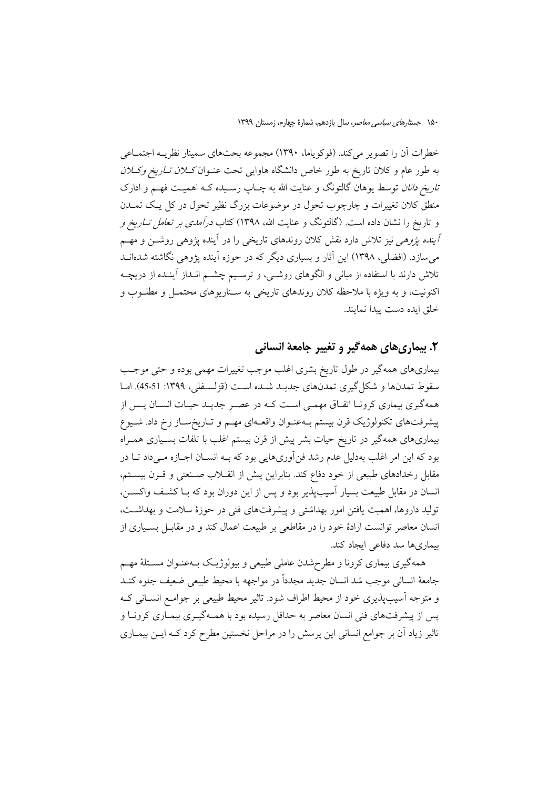خطرات أن را تصوير مي كند. (فوكوياما، ١٣٩٠) مجموعه بحثهاي سمينار نظريـه اجتمـاعي به طور عام و کلان تاریخ به طور خاص دانشگاه هاوایی تحت عنـوان *کــلان تــاریخ وکــلان تاریخ دانان* توسط یوهان گالتونگ و عنایت الله به چـاپ رسـیده کـه اهمیـت فهـم و ادارک منطق کلان تغییرات و چارچوب تحول در موضوعات بزرگ نظیر تحول در کل یک تمــدن و تاریخ را نشان داده است. (گالتونگ و عنایت الله، ۱۳۹۸) کتاب *درآمدی بر تعامل تــاریخ و آینده پژوهی نیز تلاش دارد نقش کلان روندهای تاریخی را در آینده پژوهی روشـن و مه*ـم می سازد. (افضلی، ۱۳۹۸) این آثار و بسیاری دیگر که در حوزه آینده یژوهی نگاشته شدهانــد تلاش دارند با استفاده از مبانی و الگوهای روشـی، و ترسـیم چشــم انــداز آینــده از دریچــه اکنونیت، و به ویژه با ملاحظه کلان روندهای تاریخی به سـناریوهای محتمــل و مطلــوب و خلق ايده دست پيدا نمايند.

# ۲. بیماریهای همهگیر و تغییر جامعهٔ انسانی

بیماریهای همهگیر در طول تاریخ بشری اغلب موجب تغییرات مهمی بوده و حتی موجـب سقوط تمدنها و شكل گيري تمدنهاي جديـد شـده اسـت (قزلسـفلي، ١٣٩٩: 51-45). امـا همهگیری بیماری کرونـا اتفـاق مهمـی اسـت کـه در عصـر جدیـد حیـات انسـان پـس از پیشرفتهای تکنولوژیک قرن بیستم بـهعنـوان واقعـهای مهـم و تـاریخسـاز رخ داد. شـیوع بیماریهای همهگیر در تاریخ حیات بشر پیش از قرن بیستم اغلب با تلفات بسـیاری همـراه بود که این امر اغلب بهدلیل عدم رشد فنآوریهایی بود که بــه انســان اجــازه مــیداد تــا در مقابل رخدادهای طبیعی از خود دفاع کند. بنابراین پیش از انقــلاب صـنعتی و قــرن بیســتم، انسان در مقابل طبیعت بسیار آسیبپذیر بود و پس از این دوران بود که بـا کشـف واکســن، تولید داروها، اهمیت یافتن امور بهداشتی و پیشرفتهای فنی در حوزهٔ سلامت و بهداشت، انسان معاصر توانست ارادهٔ خود را در مقاطعی بر طبیعت اعمال کند و در مقابـل بسـیاری از بیماریها سد دفاعی ایجاد کند.

همهگیری بیماری کرونا و مطرحشدن عاملی طبیعی و بیولوژیک بـهعنـوان مسـئلهٔ مهـم جامعهٔ انسانی موجب شد انسان جدید مجدداً در مواجهه با محیط طبیعی ضعیف جلوه کنــد و متوجه اسپبپذیری خود از محیط اطراف شود. تاثیر محیط طبیعی بر جوامع انسـانی کـه پس از پیشرفتهای فنی انسان معاصر به حداقل رسیده بود با همـهگیـری بیمـاری کرونـا و تاثیر زیاد اَن بر جوامع انسانی این پرسش را در مراحل نخستین مطرح کرد کــه ایــن بیمــاری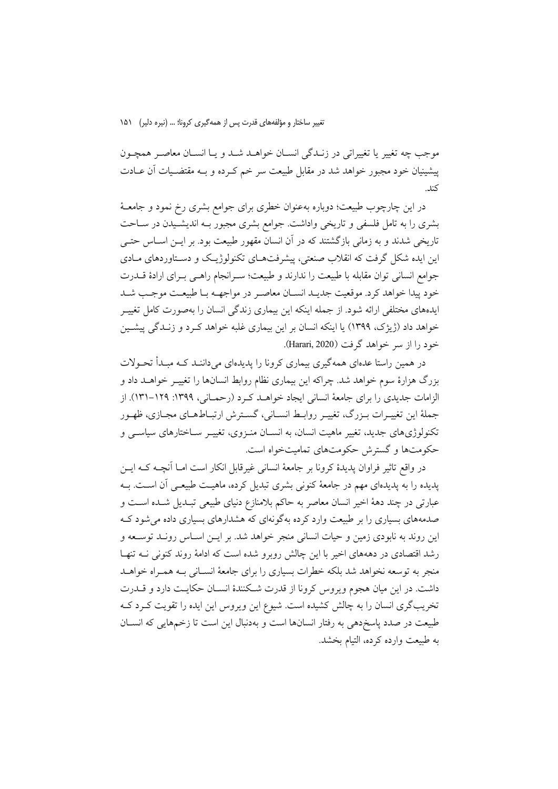موجب چه تغییر یا تغییراتی در زنـدگی انسـان خواهـد شـد و یـا انسـان معاصـر همچـون پیشینیان خود مجبور خواهد شد در مقابل طبیعت سر خم کـرده و بــه مقتضـیات آن عــادت كند.

در این چارچوب طبیعت؛ دوباره بهعنوان خطری برای جوامع بشری رخ نمود و جامعـهٔ بشری را به تامل فلسفی و تاریخی واداشت. جوامع بشری مجبور بــه اندیشــیدن در ســاحت تاریخی شدند و به زمانی بازگشتند که در آن انسان مقهور طبیعت بود. بر ایــن اســاس حتــی این ایده شکل گرفت که انقلاب صنعتی، پیشرفتهـای تکنولوژیـک و دسـتاوردهای مـادی جوامع انسانی توان مقابله با طبیعت را ندارند و طبیعت؛ سـرانجام راهـی بـرای ارادهٔ قــدرت خود پیدا خواهد کرد. موقعیت جدیـد انسـان معاصـر در مواجهـه بـا طبیعـت موجـب شـد ایدههای مختلفی ارائه شود. از جمله اینکه این بیماری زندگی انسان را بهصورت کامل تغییـر خواهد داد (ژیژک، ۱۳۹۹) یا اینکه انسان بر این بیماری غلبه خواهد کـرد و زنـدگی پیشـین خود را از سر خواهد گرفت (Harari, 2020).

در همین راستا عدهای همهگیری بیماری کرونا را پدیدهای میداننـد کـه مبـدأ تحـولات بزرگ هزارهٔ سوم خواهد شد. چراکه این بیماری نظام روابط انسانها را تغییـر خواهــد داد و الزامات جدیدی را برای جامعهٔ انسانی ایجاد خواهـد کـرد (رحمـانی، ۱۳۹۹: ۱۲۹-۱۳۱). از جملهٔ این تغییـرات بـزرگ، تغییـر روابـط انسـانی، گسـترش ارتبـاطـهـای مجـازی، ظهـور تکنولوژیهای جدید، تغییر ماهیت انسان، به انسـان منـزوی، تغییـر سـاختارهای سیاســی و حکومتها و گسترش حکومتهای تمامیتخواه است.

در واقع تاثیر فراوان پدیدهٔ کرونا بر جامعهٔ انسانی غیرقابل انکار است امـا آنچـه کـه ایــن پدیده را به پدیدهای مهم در جامعهٔ کنونی بشری تبدیل کرده، ماهیـت طبیعـی آن اسـت. بــه عبارتی در چند دههٔ اخیر انسان معاصر به حاکم بلامنازع دنیای طبیعی تبـدیل شـده اسـت و صدمههای بسیاری را بر طبیعت وارد کرده بهگونهای که هشدارهای بسیاری داده می شود ک این روند به نابودی زمین و حیات انسانی منجر خواهد شد. بر ایــن اســاس رونــد توســعه و رشد اقتصادی در دهههای اخیر با این چالش روبرو شده است که ادامهٔ روند کنونی نــه تنهـا منجر به توسعه نخواهد شد بلکه خطرات بسیاری را برای جامعهٔ انسـانی بـه همـراه خواهــد داشت. در این میان هجوم ویروس کرونا از قدرت شکنندهٔ انســان حکایــت دارد و قــدرت تخریبگری انسان را به چالش کشیده است. شیوع این ویروس این ایده را تقویت کـرد کـه طبیعت در صدد پاسخدهی به رفتار انسانها است و بهدنبال این است تا زخمهایی که انســان به طبیعت وارده کرده، التیام بخشد.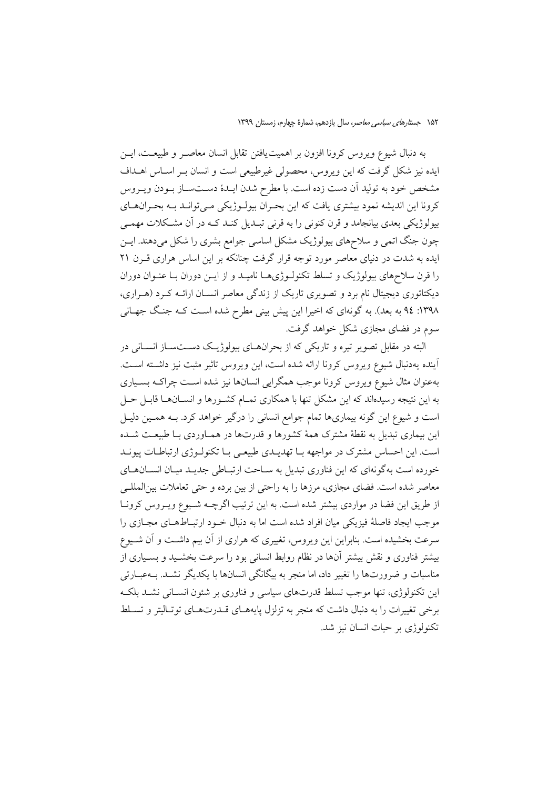به دنبال شیوع ویروس کرونا افزون بر اهمیتیافتن تقابل انسان معاصـر و طبیعـت، ایــن ایده نیز شکل گرفت که این ویروس، محصولی غیرطبیعی است و انسان بـر اسـاس اهــداف مشخص خود به تولید آن دست زده است. با مطرح شدن ایـدهٔ دســتسـاز بـودن ویـروس کرونا این اندیشه نمود بیشتری یافت که این بحـران بیولـوژیکی مـی توانـد بـه بحـران هـای بیولوژیکی بعدی بیانجامد و قرن کنونی را به قرنی تبـدیل کنـد کــه در آن مشــکلات مهمــی چون جنگ اتمی و سلاحهای بیولوژیک مشکل اساسی جوامع بشری را شکل میدهند. ایــن ایده به شدت در دنیای معاصر مورد توجه قرار گرفت چنانکه بر این اساس هراری قــرن ۲۱ را قرن سلاحهای بیولوژیک و تسلط تکنولـوژیهـا نامیـد و از ایــن دوران بـا عنـوان دوران دیکتاتوری دیجیتال نام برد و تصویری تاریک از زندگی معاصر انسـان ارائــه کــرد (هــراری، ۱۳۹۸: ۹٤ به بعد). به گونهای که اخیرا این پیش بینی مطرح شده است کـه جنـگ جهـانی سوم در فضای مجازی شکل خواهد گرفت.

البته در مقابل تصویر تیره و تاریکی که از بحرانهـای بیولوژیـک دســتســاز انســانی در آينده يهدنبال شيوع ويروس كرونا ارائه شده است، اين ويروس تاثير مثبت نيز داشته است. بهعنوان مثال شیوع ویروس کرونا موجب همگرایی انسانها نیز شده اسـت چراکـه بسـیاری به این نتیجه رسیدهاند که این مشکل تنها با همکاری تمـام کشـورها و انســانهــا قابــل حــل است و شیوع این گونه بیماریها تمام جوامع انسانی را درگیر خواهد کرد. بـه همـین دلیـل این بیماری تبدیل به نقطهٔ مشترک همهٔ کشورها و قدرتها در همـاوردی بـا طبیعـت شـده است. این احساس مشترک در مواجهه بـا تهدیـدی طبیعـی بـا تکنولـوژی ارتباطـات پیونـد خورده است به گونهای که این فناوری تبدیل به سـاحت ارتبـاطی جدیـد میـان انسـانهـای معاصر شده است. فضاي مجازي، مرزها را به راحتي از بين برده و حتى تعاملات بين|لمللـي از طریق این فضا در مواردی بیشتر شده است. به این ترتیب اگرچـه شـیوع ویـروس کرونـا موجب ایجاد فاصلهٔ فیزیکی میان افراد شده است اما به دنبال خــود ارتبــاطـهــای مجــازی را سرعت بخشیده است. بنابراین این ویروس، تغییری که هراری از آن بیم داشت و آن شـیوع بیشتر فناوری و نقش بیشتر آنها در نظام روابط انسانی بود را سرعت بخشـید و بسـیاری از مناسبات و ضرورتها را تغییر داد، اما منجر به بیگانگی انسانها با یکدیگر نشـد. بــهعبــارتی این تکنولوژی، تنها موجب تسلط قدرتهای سیاسی و فناوری بر شئون انسـانی نشـد بلکـه برخی تغییرات را به دنبال داشت که منجر به تزلزل پایههـای قــدرتهـای توتـالیتر و تســلط تکنولوژی بر حیات انسان نیز شد.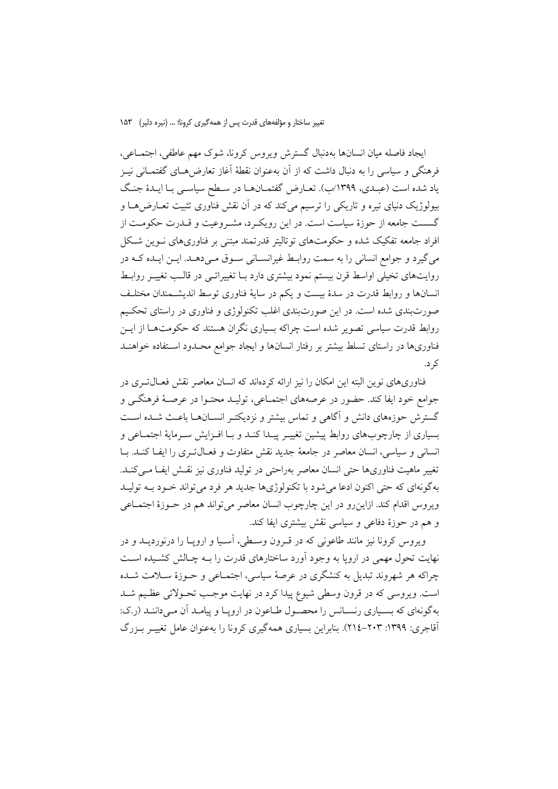ايجاد فاصله ميان انسانها بهدنبال گسترش ويروس كرونا، شوك مهم عاطفي، اجتمـاعي، فرهنگی و سیاسی را به دنبال داشت که از آن بهعنوان نقطهٔ آغاز تعارض هـای گفتمــانی نیــز یاد شده است (عبدی، ۱۳۹۹/ب). تعـارض گفتمـانهـا در سـطح سیاسـی بـا ایـدهٔ جنـگ بیولوژیک دنیای تیره و تاریکی را ترسیم میکند که در آن نقش فناوری تثبیت تعــارض۵هــا و گسست جامعه از حوزهٔ سیاست است. در این رویک د، مشـروعیت و قــدرت حکومــت از افراد جامعه تفکیک شده و حکومتهای توتالیتر قدرتمند مبتنی بر فناوریهای نــوین شــکل می گیرد و جوامع انسانی را به سمت روابط غیرانسـانی سـوق مـیدهـد. ایـن ایـده کـه در روایتهای تخیلی اواسط قرن بیستم نمود بیشتری دارد بـا تغییراتـی در قالـب تغییـر روابـط انسانها و روابط قدرت در سدهٔ بیست و یکم در سایهٔ فناوری توسط اندیشـمندان مختلـف صورتبندی شده است. در این صورتبندی اغلب تکنولوژی و فناوری در راستای تحکیم روابط قدرت سیاسی تصویر شده است چراکه بسیاری نگران هستند که حکومتهـا از ایــن فناوريءا در راستاي تسلط بيشتر بر رفتار انسانها و ايجاد جوامع محـدود اسـتفاده خواهنـد کر د.

فناوریهای نوین البته این امکان را نیز ارائه کردهاند که انسان معاصر نقش فعـالتـری در جوامع خود ايفا كند. حضور در عرصههاي اجتمــاعي، توليــد محتــوا در عرصــهٔ فرهنگــي و گسترش حوزههای دانش و آگاهی و تماس بیشتر و نزدیکتـر انســانهــا باعـث شــده اســت بسیاری از چارچوبهای روابط پیشین تغییـر پیـدا کنـد و بـا افـزایش سـرمایهٔ اجتمـاعی و انسانی و سیاسی، انسان معاصر در جامعهٔ جدید نقش متفاوت و فعـالتـری را ایفـا کنـد. بـا تغییر ماهیت فناوری ها حتی انسان معاصر پهراحتی در تولید فناوری نیز نقش ایف می کنید. بهگونهای که حتی اکنون ادعا می شود با تکنولوژیها جدید هر فرد می تواند خـود بــه تولیــد ویروس اقدام کند. ازاین رو در این چارچوب انسان معاصر میتواند هم در حـوزهٔ اجتمـاعی و هم در حوزهٔ دفاعی و سیاسی نقش بیشتری ایفا کند.

ویروس کرونا نیز مانند طاعونی که در قـرون وسـطی، آسـیا و اروپـا را درنوردیــد و در نهایت تحول مهمی در اروپا به وجود آورد ساختارهای قدرت را بـه چـالش کشـیده اسـت چراکه هر شهروند تبدیل به کنشگری در عرصهٔ سیاسی، اجتمـاعی و حــوزهٔ ســلامت شــده است. ويروسي كه در قرون وسطى شيوع پيدا كرد در نهايت موجب تحـولاتي عظـيم شـد بهگونهای که بسـیاری رنسـانس را محصـول طـاعون در اروپـا و پیامـد آن مـی داننـد (ر.ک: آقاجری: ۱۳۹۹: ۲۰۳–۲۱٤). بنابراین بسیاری همهگیری کرونا را بهعنوان عامل تغییـر بـزرگ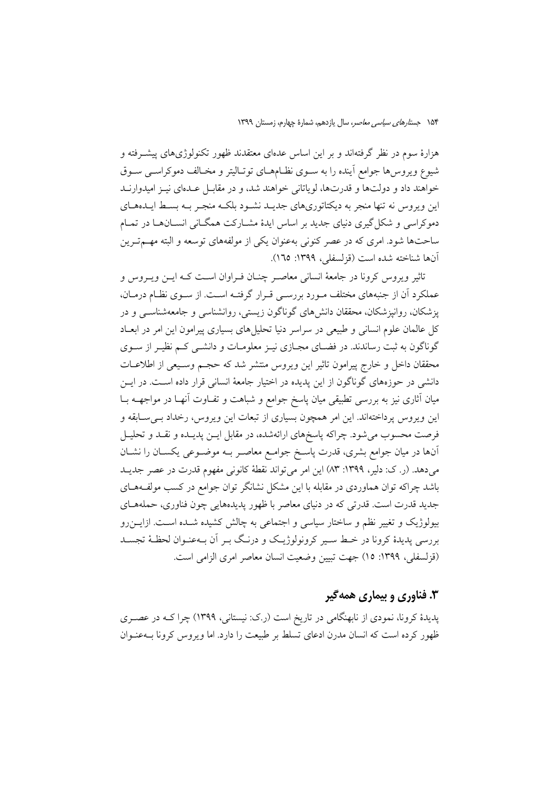هزارهٔ سوم در نظر گرفتهاند و بر این اساس عدهای معتقدند ظهور تکنولوژیهای پیشــرفته و شیوع ویروس ها جوامع آینده را به سـوی نظـامهـای توتـالیتر و مخـالف دموکراسـی سـوق خواهند داد و دولتها و قدرتها، لوياتاني خواهند شد، و در مقابـل عـدهاي نيـز اميدوارنـد این ویروس نه تنها منجر به دیکتاتوریهای جدیـد نشـود بلکـه منجـر بـه بسـط ایـدههـای دموکراسی و شکل گیری دنیای جدید بر اساس ایدهٔ مشـارکت همگـانی انســانهــا در تمــام ساحتها شود. امری که در عصر کنونی بهعنوان یکی از مولفههای توسعه و البته مهم ترین آنها شناخته شده است (قزلسفلي، ١٣٩٩: ١٦٥).

تاثیر ویروس کرونا در جامعهٔ انسانی معاصـر چنــان فــراوان اســت کــه ایــن ویــروس و عملکرد آن از جنبههای مختلف مـورد بررسـی قـرار گرفتـه اسـت. از سـوی نظـام درمـان، یزشکان، روانیزشکان، محققان دانشهای گوناگون زیستی، روانشناسی و جامعهشناســی و در کل عالمان علوم انسانی و طبیعی در سراسر دنیا تحلیل های بسیاری پیرامون این امر در ابعـاد گوناگون به ثبت رساندند. در فضـاي مجـازي نيـز معلومـات و دانشـي كـم نظيـر از سـوي محققان داخل و خارج پیرامون تاثیر این ویروس منتشر شد که حجـم وسـیعی از اطلاعـات دانشی در حوزههای گوناگون از این پدیده در اختیار جامعهٔ انسانی قرار داده اسـت. در ایــن میان آثاری نیز به بررسی تطبیقی میان پاسخ جوامع و شباهت و تفــاوت آنهــا در مواجهــه بــا این ویروس پرداختهاند. این امر همچون بسیاری از تبعات این ویروس، رخداد بهی سابقه و فرصت محسوب می شود. چراکه پاسخهای ارائهشده، در مقابل ایــن پدیــده و نقــد و تحلیــل آنها در میان جوامع بشری، قدرت پاسـخ جوامـع معاصـر بــه موضــوعی یکســان را نشــان مي دهد. (ر. ک: دلير، ١٣٩٩: ٨٣) اين امر مي تواند نقطهٔ کانوني مفهوم قدرت در عصر جديـد باشد چراکه توان هماوردی در مقابله با این مشکل نشانگر توان جوامع در کسب مولف1های جدید قدرت است. قدرتی که در دنیای معاصر با ظهور یدیدههایی چون فناوری، حملههـای بیولوژیک و تغییر نظم و ساختار سیاسی و اجتماعی به چالش کشیده شــده اسـت. ازایــنرو بررسي پديدهٔ كرونا در خـط سـير كرونولوژيـك و درنـگ بـر آن بـهعنـوان لحظـهٔ تجسـد (قزلسفلي، ١٣٩٩: ١٥) جهت تبيين وضعيت انسان معاصر امرى الزامي است.

# ۳. فناوري و بيماري همه گير

پدیدهٔ کرونا، نمودی از نابهنگامی در تاریخ است (ر.ک: نیستانی، ۱۳۹۹) چرا کـه در عصـری ظهور کرده است که انسان مدرن ادعای تسلط بر طبیعت را دارد. اما ویروس کرونا بــهعنـوان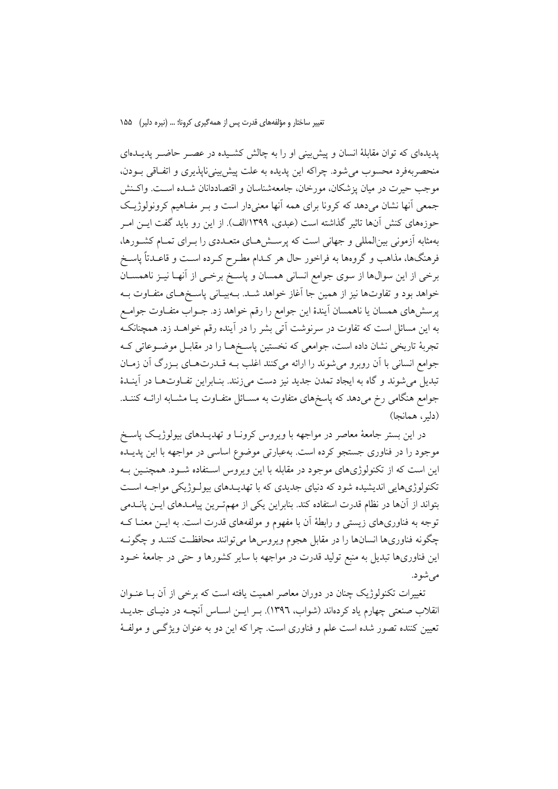یدیدهای که توان مقابلهٔ انسان و پیش بینی او را به چالش کشـیده در عصـر حاضـر پدیــدهای منحصربهفرد محسوب می شود. چراکه این پدیده به علت پیش بینی ناپذیری و اتفاقی بــودن، موجب حیرت در میان یزشکان، مورخان، جامعهشناسان و اقتصاددانان شـده اسـت. واکـنش جمعی آنها نشان میدهد که کرونا برای همه آنها معنیدار است و بـر مفـاهیم کرونولوژیـک حوزههای کنش آنها تاثیر گذاشته است (عبدی، ۱۳۹۹/الف). از این رو باید گفت ایــن امــر بهمثابه آزمونی بین|لمللی و جهانی است که پرسـش۱صای متعــددی را بــرای تمــام کشــورها، فرهنگها، مذاهب و گروهها به فراخور حال هر کـدام مطـرح کـرده اسـت و قاعـدتاً پاسـخ برخی از این سوال&ا از سوی جوامع انسانی همسان و پاسخ برخـی از آنهـا نیــز ناهمســان خواهد بود و تفاوتها نیز از همین جا آغاز خواهد شـد. بــهبیــانی پاســخهـای متفــاوت بــه پرسشهای همسان یا ناهمسان آیندهٔ این جوامع را رقم خواهد زد. جــواب متفــاوت جوامــع به این مسائل است که تفاوت در سرنوشت آتی بشر را در آینده رقم خواهــد زد. همچنانکــه تجربهٔ تاریخی نشان داده است، جوامعی که نخستین پاسـخهــا را در مقابــل موضــوعاتی کــه جوامع انسانی با آن روبرو می شوند را ارائه می کنند اغلب بـه قــدرتهــای بـزرگ آن زمــان تبدیل می شوند و گاه به ایجاد تمدن جدید نیز دست می زنند. بنـابراین تفـاوتهـا در آینـدهٔ جوامع هنگامی رخ میدهد که پاسخهای متفاوت به مســائل متفــاوت یــا مشــابه ارائــه کننــد. (دلب همانجا)

در این بستر جامعهٔ معاصر در مواجهه با ویروس کرونـا و تهدیــدهای بیولوژیـک پاسـخ موجود را در فناوری جستجو کرده است. بهعبارتی موضوع اساسی در مواجهه با این پدیــده این است که از تکنولوژیهای موجود در مقابله با این ویروس استفاده شـود. همچنـین بـه تکنولوژیهایی اندیشیده شود که دنیای جدیدی که با تهدیـدهای پیولـوژیکی مواجـه اسـت بتواند از آنها در نظام قدرت استفاده کند. بنابراین یکی از مهمترین پیامـدهای ایــن پانــدمی توجه به فناوریهای زیستی و رابطهٔ آن با مفهوم و مولفههای قدرت است. به ایــن معنــا کــه چگونه فناوریها انسانها را در مقابل هجوم ویروس ها می توانند محافظت کننـد و چگونـه این فناوریها تبدیل به منبع تولید قدرت در مواجهه با سایر کشورها و حتی در جامعهٔ خـود می شو د.

تغییرات تکنولوژیک چنان در دوران معاصر اهمیت یافته است که برخی از آن بــا عنــوان انقلاب صنعتی چهارم یاد کردهاند (شواب، ۱۳۹٦). بـر ایــن اســاس آنچــه در دنیــای جدیــد تعیین کننده تصور شده است علم و فناوری است. چرا که این دو به عنوان ویژگـی و مولفـهٔ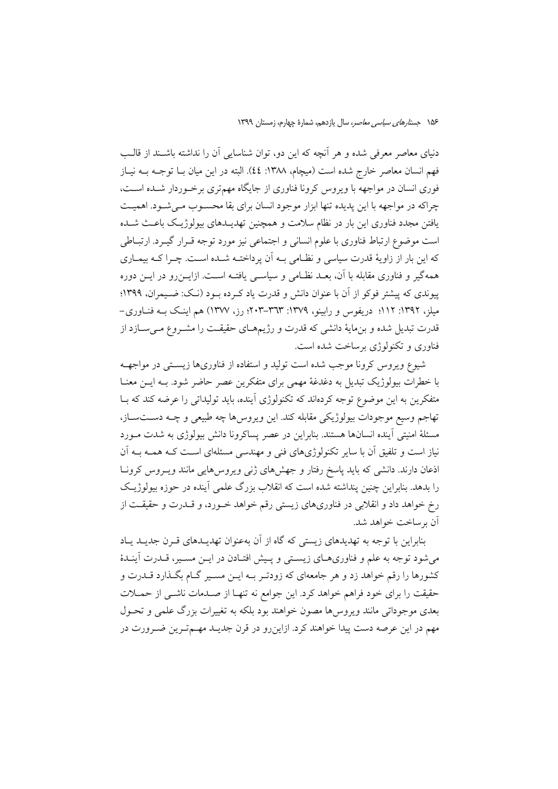دنیای معاصر معرفی شده و هر اَنچه که این دو، توان شناسایی اَن را نداشته باشــند از قالــب فهم انسان معاصر خارج شده است (میچام، ۱۳۸۸: ٤٤). البته در این میان بـا توجــه بــه نیــاز فوری انسان در مواجهه با ویروس کرونا فناوری از جایگاه مهمتری برخـوردار شــده اســت، چراکه در مواجهه با این پدیده تنها ابزار موجود انسان برای بقا محسـوب مـی شـود. اهمیـت یافتن مجدد فناوری این بار در نظام سلامت و همچنین تهدیــدهای بیولوژیــک باعــث شــده است موضوع ارتباط فناوری با علوم انسانی و اجتماعی نیز مورد توجه قـرار گیـرد. ارتبــاطی که این بار از زاویهٔ قدرت سیاسی و نظـامی بـه اَن پرداختـه شـده اسـت. چـرا کـه بیمـاری همهگیر و فناوری مقابله با آن، بعـد نظـامی و سیاســی یافتــه اســت ازایــن(و در ایــن دوره پیوندی که پیشتر فوکو از آن با عنوان دانش و قدرت یاد کـرده بـود (نـک: ضـیمران، ۱۳۹۹؛ میلز، ۱۳۹۲: ۱۱۲؛ دریفوس و رابینو، ۱۳۷۹: ۳۳۳–۲۰۳؛ رز، ۱۳۷۷) هم اینک بـه فنـاوری– قدرت تبدیل شده و بنءایهٔ دانشی که قدرت و رژیمهـای حقیقـت را مشـروع مـیسـازد از فناوري و تکنولوژي برساخت شده است.

شیوع ویروس کرونا موجب شده است تولید و استفاده از فناوریها زیستی در مواجهــه با خطرات بیولوژیک تبدیل به دغدغهٔ مهمی برای متفکرین عصر حاضر شود. بــه ایــن معنــا متفکرین به این موضوع توجه کردهاند که تکنولوژی آینده، باید تولیداتی را عرضه کند که بـا تهاجم وسيع موجودات بيولوژيكي مقابله كند. اين ويروس ها چه طبيعي و چــه دســتســاز، مسئلهٔ امنیتی آینده انسانها هستند. بنابراین در عصر پساکرونا دانش بیولوژی به شدت مـورد نیاز است و تلفیق آن با سایر تکنولوژیهای فنی و مهندسی مسئلهای اسـت کــه همــه بــه آن اذعان دارند. دانشی که باید پاسخ رفتار و جهشهای ژنی ویروسهایی مانند ویـروس کرونـا را بدهد. بنابراین چنین پنداشته شده است که انقلاب بزرگ علمی آینده در حوزه بیولوژیک رخ خواهد داد و انقلابی در فناوریهای زیستی رقم خواهد خـورد، و قـدرت و حقیقـت از آن برساخت خواهد شد.

بنابراین با توجه به تهدیدهای زیستی که گاه از آن بهعنوان تهدیـدهای قـرن جدیـد یـاد می شود توجه به علم و فناوریهـای زیسـتی و پـیش افتـادن در ایــن مسـیر، قــدرت آینــدهٔ کشورها را رقم خواهد زد و هر جامعهای که زودتـر بـه ایـن مسـیر گـام بگـذارد قــدرت و حقیقت را برای خود فراهم خواهد کرد. این جوامع نه تنهـا از صـدمات ناشـی از حمــلات بعدی موجوداتی مانند ویروس ها مصون خواهند بود بلکه به تغییرات بزرگ علمی و تحـول مهم در این عرصه دست پیدا خواهند کرد. ازاینرو در قرن جدیـد مهــمتـرین ضــرورت در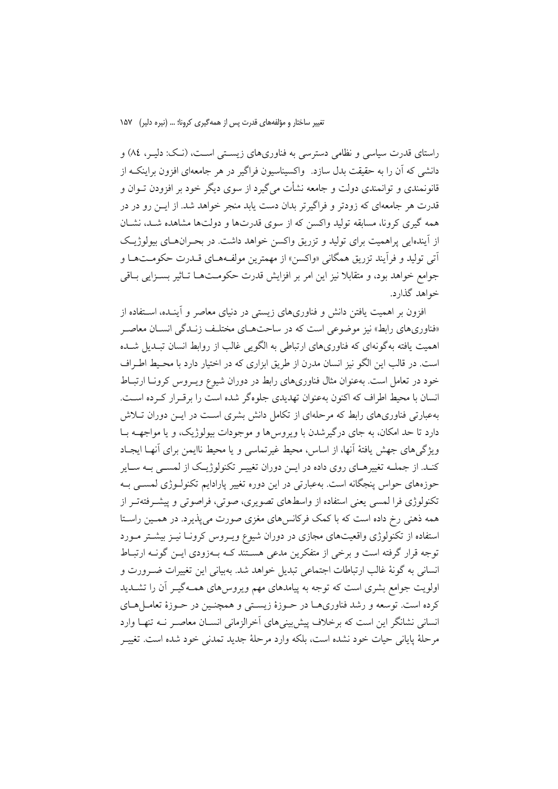راستای قدرت سیاسی و نظامی دسترسی به فناوریهای زیستی است، (نک: دلیـر، ٨٤) و دانشی که آن را به حقیقت بدل سازد. ۖ واکسیناسیون فراگیر در هر جامعهای افزون براینکــه از قانونمندی و توانمندی دولت و جامعه نشأت می گیرد از سوی دیگر خود بر افزودن تــوان و .<br>قدرت هر جامعهای که زودتر و فراگیرتر بدان دست یابد منجر خواهد شد. از ایــز رو در در همه گیری کرونا، مسابقه تولید واکسن که از سوی قدرتها و دولتها مشاهده شـد، نشـان از اَپندهایی پراهمیت برای تولید و تزریق واکسن خواهد داشت. در بحـرانهــای بیولوژیــک آتي توليد و فراّيند تزريق همگاني «واکسن» از مهمترين مولف4هـاي قــدرت حکومــتهـا و جوامع خواهد بود، و متقابلا نيز اين امر بر افزايش قدرت حكومـتهــا تــاثير بســزايي بــاقي خواهد گذارد.

افزون بر اهمیت یافتن دانش و فناوریهای زیستی در دنیای معاصر و آینـده، اسـتفاده از «فناوریهای رابط» نیز موضوعی است که در ساحتهـای مختلـف زنـدگی انسـان معاصـر اهمیت یافته بهگونهای که فناوریهای ارتباطی به الگویی غالب از روابط انسان تبـدیل شـده است. در قالب این الگو نیز انسان مدرن از طریق ابزاری که در اختیار دارد با محیط اطراف خود در تعامل است. بهعنوان مثال فناوریهای رابط در دوران شیوع ویـروس کرونـا ارتبـاط انسان با محیط اطراف که اکنون بهعنوان تهدیدی جلوهگر شده است را برقرار کرده است. بهعبارتی فناوریهای رابط که مرحلهای از تکامل دانش بشری است در ایــن دوران تــلاش دارد تا حد امکان، به جای درگیرشدن با ویروسها و موجودات بیولوژیک، و یا مواجهــه بــا ويژگي هاي جهش يافتهٔ آنها، از اساس، محيط غيرتماسي و يا محيط ناايمن براي آنهـا ايجـاد کنـد. از جملــه تغییرهــای روی داده در ایــن دوران تغییــر تکنولوژیــک از لمســی بــه ســایر حوزههای حواس پنجگانه است. بهعبارتی در این دوره تغییر پارادایم تکنولـوژی لمســی بــه تکنولوژی فرا لمسی یعنی استفاده از واسطهای تصویری، صوتی، فراصوتی و پیشـرفتهتـر از همه ذهني رخ داده است كه با كمك فركانس هاي مغزى صورت مي پذيرد. در همسين راستا استفاده از تکنولوژی واقعیتهای مجازی در دوران شیوع ویـروس کرونـا نیـز بیشـتر مـورد توجه قرار گرفته است و برخی از متفکرین مدعی هســتند کــه بــهزودی ایــن گونــه ارتبــاط انسانی به گونهٔ غالب ارتباطات اجتماعی تبدیل خواهد شد. بهبیانی این تغییرات ضـرورت و اولویت جوامع بشری است که توجه به پیامدهای مهم ویروس های همـهگیـر آن را تشــدید كرده است. توسعه و رشد فناوريهما در حـوزهٔ زيسـتي و همچنـين در حـوزهٔ تعامـلهـاي انسانی نشانگر این است که برخلاف پیش بینی های آخرالزمانی انســان معاصــر نــه تنهــا وارد مرحلهٔ پایانی حیات خود نشده است، بلکه وارد مرحلهٔ جدید تمدنی خود شده است. تغییــر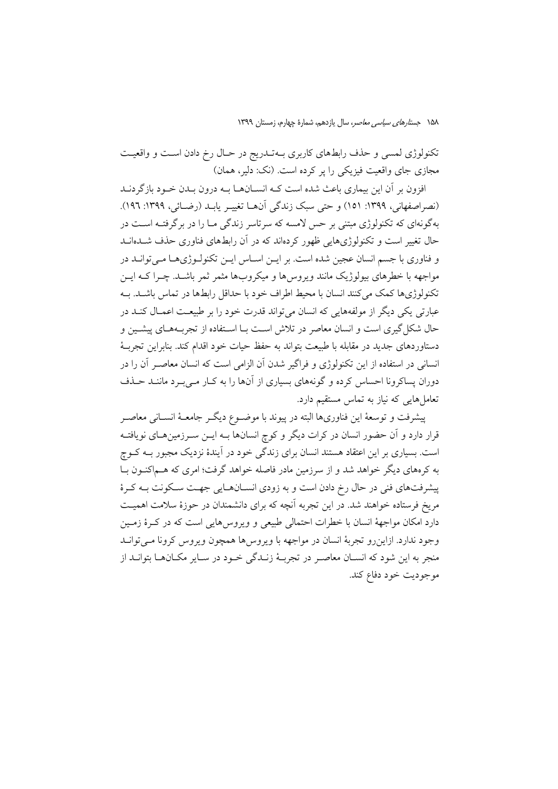تکنولوژی لمسی و حذف رابطهای کاربری بـهتـدریج در حـال رخ دادن اسـت و واقعیـت مجازی جای واقعیت فیزیکی را بر کرده است. (نک: دلیر، همان)

افزون بر أن این بیماری باعث شده است کـه انســانهــا بــه درون بــدن خــود بازگردنــد (نصراصفهاني، ١٣٩٩: ١٥١) و حتى سبك زندگي آنهـا تغييـر يابـد (رضـائي، ١٣٩٩: ١٩٦). بهگونهای که تکنولوژی مبتنی بر حس لامسه که سرتاسر زندگی مــا را در برگرفتــه اســت در حال تغییر است و تکنولوژیهایی ظهور کردهاند که در آن رابطهای فناوری حذف شیدهانید و فناوری با جسم انسان عجین شده است. بر ایــن اســاس ایــن تکنولــوژیهــا مــی توانــد در مواجهه با خطرهای بیولوژیک مانند ویروس ها و میکروبها مثمر ثمر باشـد. چـرا کـه ایــن تکنولوژیها کمک می کنند انسان با محیط اطراف خود با حداقل رابطها در تماس باشــد. بــه عبارتی یکی دیگر از مولفههایی که انسان می تواند قدرت خود را بر طبیعت اعمـال کنـد در حال شکل گیری است و انسان معاصر در تلاش است بـا اسـتفاده از تجربـههـای پیشـین و دستاوردهای جدید در مقابله با طبیعت بتواند به حفظ حیات خود اقدام کند. بنابراین تجربـهٔ انسانی در استفاده از این تکنولوژی و فراگیر شدن آن الزامی است که انسان معاصـر آن را در دوران پساکرونا احساس کرده و گونههای بسیاری از آنها را به کـار مـیبـرد ماننــد حــذف تعاملهایی که نیاز به تماس مستقیم دارد.

پیشرفت و توسعهٔ این فناوریها البته در پیوند با موضـوع دیگـر جامعـهٔ انســانی معاصـر قرار دارد و آن حضور انسان در کرات دیگر و کوچ انسانها بــه ایــن ســرزمینهــای نویافتــه است. بسیاری بر این اعتقاد هستند انسان برای زندگی خود در آیندهٔ نزدیک مجبور بــه کــوچ به کرههای دیگر خواهد شد و از سرزمین مادر فاصله خواهد گرفت؛ امری که هــماکنــون بــا پیشرفتهای فنی در حال رخ دادن است و به زودی انسـانهـایی جهـت سـکونت بـه کـرهٔ مریخ فرستاده خواهند شد. در این تجربه آنچه که برای دانشمندان در حوزهٔ سلامت اهمیت دارد امکان مواجههٔ انسان با خطرات احتمالی طبیعی و ویروس۵ایی است که در کـرهٔ زمـین وجود ندارد. ازاین رو تجربهٔ انسان در مواجهه با ویروس ها همچون ویروس کرونا مـیتوانـد منجر به این شود که انسـان معاصـر در تجربـهٔ زنـدگی خـود در سـایر مکـانهـا بتوانـد از موجوديت خود دفاع كند.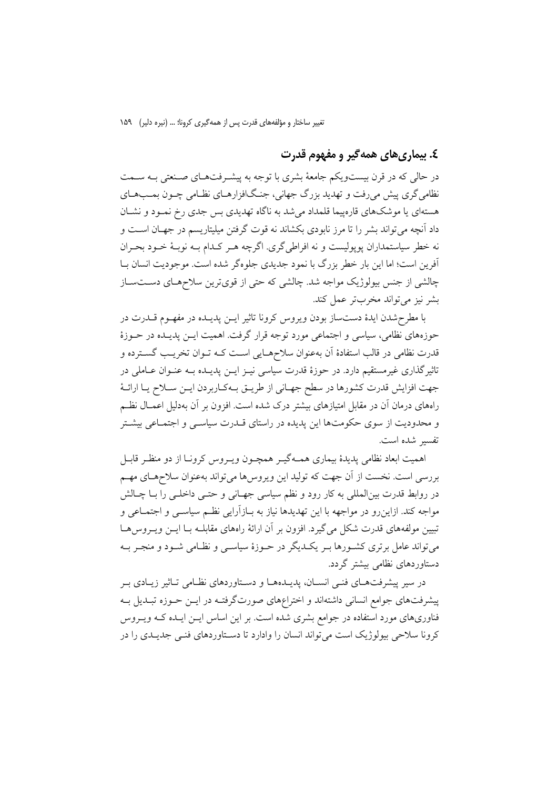# ٤. بیماری های همه گیر و مفهوم قدرت

در حالي كه در قرن بيستويكم جامعهٔ بشرى با توجه به پيشـرفتهـاي صـنعتي بـه سـمت نظامی گری پیش میرفت و تهدید بزرگ جهانی، جنگافزارهـای نظـامی چـون بمـبهـای هستهای یا موشکهای قارهییما قلمداد می شد به ناگاه تهدیدی بس جدی رخ نمـود و نشــان داد آنچه می تواند بشر را تا مرز نابودی بکشاند نه قوت گرفتن میلیتاریسم در جهـان اسـت و نه خطر سیاستمداران پوپولیست و نه افراطی گری. اگرچه هـر کـدام بـه نوبـهٔ خـود بحـران آفرین است؛ اما این بار خطر بزرگ با نمود جدیدی جلوهگر شده است. موجودیت انسان بـا چالشی از جنس بیولوژیک مواجه شد. چالشی که حتی از قویترین سلاحهای دستساز بشر نيز مي تواند مخربتر عمل كند.

با مطرح شدن ايدهٔ دستساز بودن ويروس كرونا تاثير ايــن يديــده در مفهــوم قــدرت در حوزههای نظامی، سیاسی و اجتماعی مورد توجه قرار گرفت. اهمیت ایــن پدیــده در حــوزهٔ قدرت نظامي در قالب استفادهٔ اَن بهعنوان سلاحهـايي اسـت کــه تــوان تخريــب گســترده و تاثیرگذاری غیرمستقیم دارد. در حوزهٔ قدرت سیاسی نیـز ایـن پدیـده بـه عنـوان عـاملی در جهت افزایش قدرت کشورها در سطح جهـاني از طريـق بـهكـاربردن ايـن سـلاح يـا ارائـهٔ راههای درمان آن در مقابل امتیازهای بیشتر درک شده است. افزون بر آن بهدلیل اعمــال نظــم و محدودیت از سوی حکومتها این پدیده در راستای قـدرت سیاسـی و اجتمـاعی بیشـتر تفسير شده است.

اهمیت ابعاد نظامی پدیدهٔ بیماری همـهگیـر همچـون ویـروس کرونـا از دو منظـر قابـل بررسی است. نخست از آن جهت که تولید این ویروس۵ا میتواند بهعنوان سلاحهـای مهـم در روابط قدرت بینالمللی به کار رود و نظم سیاسی جهـانی و حتـبی داخلـبی را بــا چــالش مواجه کند. ازاینرو در مواجهه با این تهدیدها نیاز به بـازآرایی نظـم سیاســی و اجتمــاعی و تبیین مولفههای قدرت شکل می گیرد. افزون بر آن ارائهٔ راههای مقابلــه بــا ایــن ویــروس هــا میتواند عامل برتری کشـورها بـر یکـدیگر در حـوزهٔ سیاسـی و نظـامی شـود و منجـر بـه دستاوردهای نظامی بیشتر گردد.

در سیر پیشرفتهای فنمی انسان، پدیـدههـا و دسـتاوردهای نظـامی تـاثیر زیـادی بـر پیشرفتهای جوامع انسانی داشتهاند و اختراعهای صورتگرفتـه در ایــن حــوزه تبــدیل بــه فناوریهای مورد استفاده در جوامع بشری شده است. بر این اساس ایــن ایــده کــه ویــروس کرونا سلاحی بیولوژیک است می تواند انسان را وادارد تا دسـتاوردهای فنـی جدیـدی را در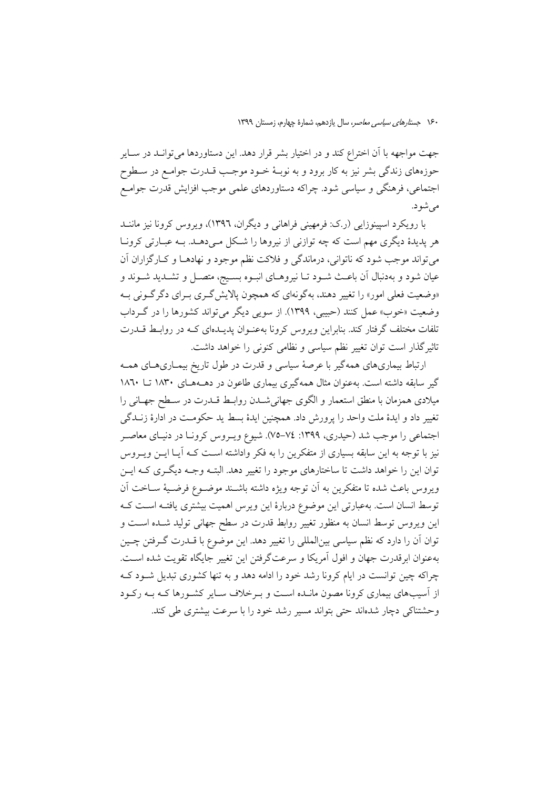جهت مواجهه با آن اختراع کند و در اختیار بشر قرار دهد. این دستاوردها می توانـد در سـایر حوزههای زندگی بشر نیز به کار برود و به نوبـهٔ خــود موجـب قــدرت جوامــع در ســطوح اجتماعی، فرهنگی و سیاسی شود. چراکه دستاوردهای علمی موجب افزایش قدرت جوامع می شو د.

با رويكرد اسپينوزايي (رک: فرمهيني فراهاني و ديگران، ١٣٩٦)، ويروس كرونا نيز ماننـد هر پدیدهٔ دیگری مهم است که چه توازنی از نیروها را شکل مـیدهــد. بــه عبــارتی کرونــا می تواند موجب شود که ناتوانی، درماندگی و فلاکت نظم موجود و نهادهـا و کـارگزاران آن عیان شود و بهدنبال آن باعث شـود تـا نیروهـای انبـوه بسـیج، متصـل و تشــدید شــوند و «وضعیت فعلی امور» را تغییر دهند، بهگونهای که همچون پالایش گـری بـرای دگر گـونی بـه وضعیت «خوب» عمل کنند (حبیبی، ۱۳۹۹). از سویی دیگر می تواند کشورها را در گرداب تلفات مختلف گرفتار کند. بنابراین ویروس کرونا بهعنـوان پدیـدهای کـه در روابـط قــدرت تاثیر گذار است توان تغییر نظم سیاسی و نظامی کنونی را خواهد داشت.

ارتباط بیماریهای همهگیر با عرصهٔ سیاسی و قدرت در طول تاریخ بیمـاریهـای همـه گیر سابقه داشته است. به عنوان مثال همه گیری بیماری طاعون در دهـههـای ۱۸۳۰ تــا ۱۸۲۰ میلادی همزمان با منطق استعمار و الگوی جهانی شـدن روابـط قـدرت در سـطح جهـانی را تغییر داد و ایدهٔ ملت واحد را پرورش داد. همچنین ایدهٔ بسط ید حکومت در ادارهٔ زنــدگی اجتماعی را موجب شد (حیدری، ۱۳۹۹: ۷٤–۷۵). شیوع ویـروس کرونـا در دنیـای معاصـر نیز با توجه به این سابقه بسیاری از متفکرین را به فکر واداشته است کـه آیــا ایــن ویــروس توان این را خواهد داشت تا ساختارهای موجود را تغییر دهد. البتـه وجـه دیگـری کـه ایــن ويروس باعث شده تا متفكرين به أن توجه ويژه داشته باشـند موضـوع فرضـيهٔ سـاخت أن توسط انسان است. بهعبارتی این موضوع دربارهٔ این ویرس اهمیت بیشتری یافتـه اسـت کـه این ویروس توسط انسان به منظور تغییر روابط قدرت در سطح جهانی تولید شـده اسـت و توان آن را دارد که نظم سیاسی بین|لمللی را تغییر دهد. این موضوع با قــدرت گــرفتن چــین بهعنوان ابرقدرت جهان و افول آمريكا و سرعتگرفتن اين تغيير جايگاه تقويت شده اسـت. چراکه چین توانست در ایام کرونا رشد خود را ادامه دهد و به تنها کشوری تبدیل شـود کـه از آسیبهای بیماری کرونا مصون مانـده اسـت و بـرخلاف سـایر کشـورها کـه بـه رکـود وحشتناکی دچار شدهاند حتی بتواند مسیر رشد خود را با سرعت بیشتری طی کند.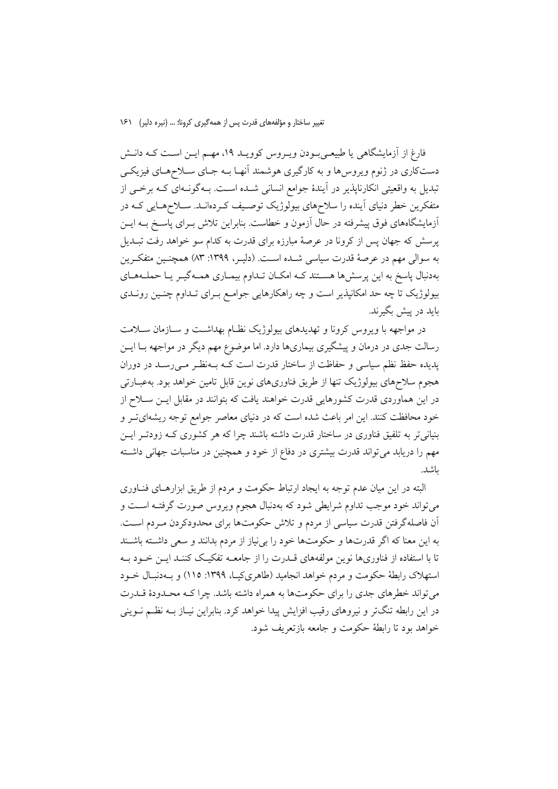فارغ از آزمایشگاهی یا طبیعـیبـودن ویـروس کوویــد ۱۹، مهــم ایــن اســت کــه دانــش دستکاری در ژنوم ویروس ها و به کارگیری هوشمند آنهـا بــه جـای ســلاحهـای فیزیکــی تبدیل به واقعیتی انکارناپذیر در آیندهٔ جوامع انسانی شـده اسـت. بـهگونـهای کـه برخـی از متفکرین خطر دنیای آینده را سلاحهای بیولوژیک توصـیف کـردهانــد. ســلاحهــایی کــه در آزمایشگاههای فوق پیشرفته در حال آزمون و خطاست. بنابراین تلاش بـرای پاسـخ بــه ایــن یرسش که جهان پس از کرونا در عرصهٔ مبارزه برای قدرت به کدام سو خواهد رفت تبـدیل به سوالی مهم در عرصهٔ قدرت سیاسی شـده اسـت. (دلیـر، ۱۳۹۹: ۸۳) همچنـین متفکـرین بهدنبال پاسخ به این پرسشها هسـتند کـه امکـان تـداوم بیمـاری همـهگیـر یـا حملـههـای بیولوژیک تا چه حد امکانپذیر است و چه راهکارهایی جوامع بـرای تـداوم چنـین رونـدی باید در پیش بگیرند.

در مواجهه با ویروس کرونا و تهدیدهای بیولوژیک نظـام بهداشـت و ســازمان ســلامت رسالت جدی در درمان و پیشگیری بیماریها دارد. اما موضوع مهم دیگر در مواجهه بــا ایــن پدیده حفظ نظم سیاسی و حفاظت از ساختار قدرت است کـه بـهنظـر مـیرسـد در دوران هجوم سلاحهای بیولوژیک تنها از طریق فناوریهای نوین قابل تامین خواهد بود. بهعبـارتی در این هماوردی قدرت کشورهایی قدرت خواهند یافت که بتوانند در مقابل ایـن سـلاح از خود محافظت کنند. این امر باعث شده است که در دنیای معاصر جوامع توجه ریشهای تـر و بنیانی تر به تلفیق فناوری در ساختار قدرت داشته باشند چرا که هر کشوری کـه زودتــر ایــن مهم را دریابد میتواند قدرت بیشتری در دفاع از خود و همچنین در مناسبات جهانی داشته ىاشد.

البته در این میان عدم توجه به ایجاد ارتباط حکومت و مردم از طریق ابزارهـای فنـاوری میتواند خود موجب تداوم شرایطی شود که بهدنبال هجوم ویروس صورت گرفتـه اســت و آن فاصله گرفتن قدرت سیاسی از مردم و تلاش حکومتها برای محدودکردن مـردم اسـت. به این معنا که اگر قدرتها و حکومتها خود را بی نیاز از مردم بدانند و سعی داشته باشـند تا با استفاده از فناوریها نوین مولفههای قــدرت را از جامعــه تفکیــک کننــد ایــن خــود بــه استهلاک رابطهٔ حکومت و مردم خواهد انجامید (طاهریکیا، ۱۳۹۹: ۱۱۵) و بـهدنبـال خــود می تواند خطرهای جدی را برای حکومتها به همراه داشته باشد. چرا کـه محـدودهٔ قــدرت در این رابطه تنگتر و نیروهای رقیب افزایش پیدا خواهد کرد. بنابراین نیـاز بــه نظــم نــوینی خواهد بود تا رابطهٔ حکومت و جامعه بازتعریف شود.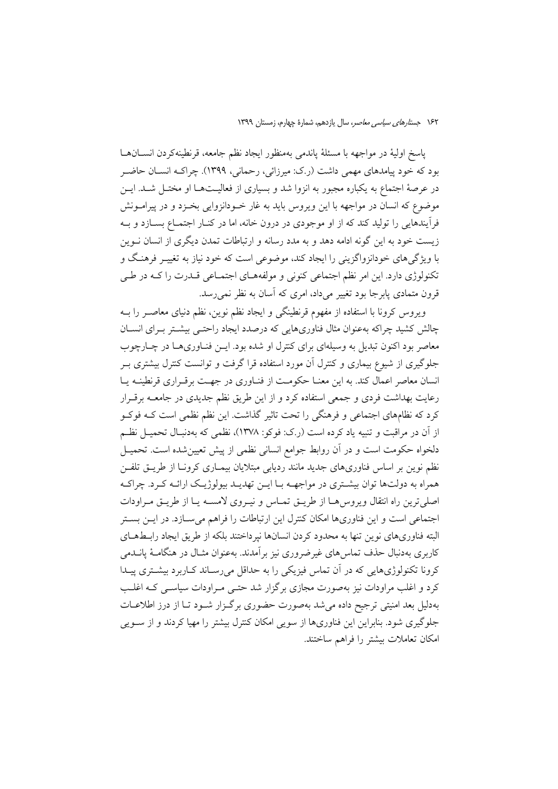پاسخ اوليهٔ در مواجهه با مسئلهٔ پاندمی بهمنظور ايجاد نظم جامعه، قرنطينهکردن انســانهــا بود که خود پیامدهای مهمی داشت (ر.ک: میرزائی، رحمانی، ۱۳۹۹). چراکـه انســان حاضــر در عرصهٔ اجتماع به یکباره مجبور به انزوا شد و بسیاری از فعالیــتهـا او مختــل شــد. ایــن موضوع که انسان در مواجهه با این ویروس باید به غار خـودانزوایی بخـزد و در پیرامـونش فرآیندهایی را تولید کند که از او موجودی در درون خانه، اما در کنـار اجتمــاع بســازد و بــه زیست خود به این گونه ادامه دهد و به مدد رسانه و ارتباطات تمدن دیگری از انسان نــوین با ویژگی های خودانزواگزینی را ایجاد کند، موضوعی است که خود نیاز به تغییـر فرهنـگ و تکنولوژی دارد. این امر نظم اجتماعی کنونی و مولفههـای اجتمـاعی قـدرت را کـه در طـی قرون متمادی پابرجا بود تغییر میداد، امری که آسان به نظر نمی رسد.

ویروس کرونا با استفاده از مفهوم قرنطینگی و ایجاد نظم نوین، نظم دنیای معاصـر را بــه چالش کشید چراکه بهعنوان مثال فناوریهایی که درصدد ایجاد راحتبی بیشتر بهرای انسان معاصر بود اکنون تبدیل به وسیلهای برای کنترل او شده بود. ایــن فنــاوریهــا در چــارچوب جلوگیری از شیوع بیماری و کنترل آن مورد استفاده قرا گرفت و توانست کنترل بیشتری بـر انسان معاصر اعمال كند. به اين معنــا حكومـت از فنــاوري در جهـت برقــراري قرنطينــه يــا رعایت بهداشت فردی و جمعی استفاده کرد و از این طریق نظم جدیدی در جامعــه برقــرار کرد که نظامهای اجتماعی و فرهنگی را تحت تاثیر گذاشت. این نظم نظمی است کـه فوکـو از آن در مراقبت و تنبیه یاد کرده است (ر.ک: فوکو: ۱۳۷۸)، نظمی که بهدنبـال تحمیـل نظـم دلخواه حکومت است و در آن روابط جوامع انسانی نظمی از پیش تعیینشده است. تحمیــل نظم نوین بر اساس فناوریهای جدید مانند ردیابی مبتلایان بیمـاری کرونـا از طریــق تلفــن همراه به دولتها توان بیشتری در مواجهـه بـا ایــن تهدیــد بیولوژیـک ارائــه کـرد. چراکـه اصلی ترین راه انتقال ویروس هـا از طریــق تمـاس و نیـروی لامســه یـا از طریــق مـراودات اجتماعی است و این فناوریها امکان کنترل این ارتباطات را فراهم میسازد. در ایـن بسـتر البته فناورىهاى نوين تنها به محدود كردن انسانها نپرداختند بلكه از طريق ايجاد رابـطهــاى کاربری بهدنبال حذف تماس های غیرضروری نیز بر اَمدند. بهعنوان مثـال در هنگامـهٔ پانــدمی کرونا تکنولوژیهایی که در آن تماس فیزیکی را به حداقل می رسـاند کـاربرد بیشـتری پیـدا کرد و اغلب مراودات نیز بهصورت مجازی برگزار شد حتـی مـراودات سیاسـی کـه اغلـب بهدلیل بعد امنیتی ترجیح داده می شد بهصورت حضوری برگـزار شـود تـا از درز اطلاعـات جلوگیری شود. بنابراین این فناوریها از سویی امکان کنترل بیشتر را مهیا کردند و از سـویی امکان تعاملات بیشتر را فراهم ساختند.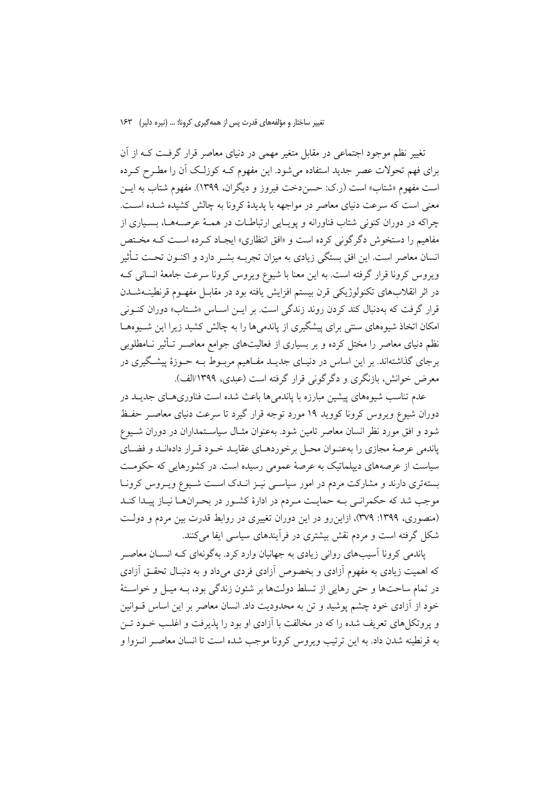تغییر نظم موجود اجتماعی در مقابل متغیر مهمی در دنیای معاصر قرار گرفت کـه از آن برای فهم تحولات عصر جدید استفاده میشود. این مفهوم کـه کوزلـک آن را مطـرح کـرده است مفهوم «شتاب» است (ر.ک: حسن دخت فیروز و دیگران، ۱۳۹۹). مفهوم شتاب به ایــن معنی است که سرعت دنیای معاصر در مواجهه با یدیدهٔ کرونا به چالش کشیده شـده اسـت. چراکه در دوران کنونی شتاب فناورانه و پوپایی ارتباطـات در همـهٔ عرصـههـا، بسـپاری از مفاهیم را دستخوش دگرگونی کرده است و «افق انتظاری» ایجـاد کـرده اسـت کـه مخـتص انسان معاصر است. این افق بستگی زیادی به میزان تجربـه بشــر دارد و اکنــون تحــت تــأثیر ویروس کرونا قرار گرفته است. به این معنا با شیوع ویروس کرونا سرعت جامعهٔ انسانی ک در اثر انقلابهای تکنولوژیکی قرن بیستم افزایش یافته بود در مقابــل مفهــوم قرنطینــهشــدن قرار گرفت که بهدنبال کند کردن روند زندگی است. بر ایــن اســاس «شـتاب» دوران کنــونی امکان اتخاذ شیوههای سنتی برای پیشگیری از پاندمیها را به چالش کشید زیرا این شـیوههـا نظم دنیای معاصر را مختل کرده و بر بسیاری از فعالیتهای جوامع معاصـر تــأثیر نــامطلوبی برجای گذاشتهاند. بر این اساس در دنیـای جدیـد مفـاهیم مربـوط بـه حـوزهٔ پیشـگیری در معرض خوانش، بازنگری و دگرگونی قرار گرفته است (عبدی، ۱۳۹۹/الف).

عدم تناسب شیوههای پیشین مبارزه با پاندمی ها باعث شده است فناوریهـای جدیــد در دوران شیوع ویروس کرونا کووید ۱۹ مورد توجه قرار گیرد تا سرعت دنیای معاصـر حفـظ شود و افق مورد نظر انسان معاصر تامین شود. به عنوان مثـال سیاسـتمداران در دوران شـیوع پاندمی عرصهٔ مجازی را بهعنـوان محـل برخوردهـای عقایـد خـود قـرار دادهانـد و فضـای سیاست از عرصههای دیپلماتیک به عرصهٔ عمومی رسیده است. در کشورهایی که حکومت بستهتری دارند و مشارکت مردم در امور سیاسـی نیـز انـدک اسـت شـیوع ویـروس کرونـا موجب شد که حکمرانـي بـه حمايـت مـردم در ادارهٔ کشـور در بحـرانهـا نيـاز پيـدا کنـد (منصوری، ۱۳۹۹: ۳۷۹)، ازاین رو در این دوران تغییری در روابط قدرت بین مردم و دولت شکل گرفته است و مردم نقش بیشتری در فرآیندهای سیاسی ایفا می کنند.

یاندمی کرونا آسیبهای روانی زیادی به جهانیان وارد کرد. بهگونهای کـه انســان معاصـر که اهمیت زیادی به مفهوم آزادی و بخصوص آزادی فردی میٍداد و به دنبـال تحقــق آزادی در تمام ساحتها و حتی رهایی از تسلط دولتها بر شئون زندگی بود، بـه میــل و خواســتهٔ خود از آزادی خود چشم پوشید و تن به محدودیت داد. انسان معاصر بر این اساس قــوانین و پروتکلهای تعریف شده را که در مخالفت با آزادی او بود را پذیرفت و اغلب خــود تــز به قرنطینه شدن داد. به این ترتیب ویروس کرونا موجب شده است تا انسان معاصـر انــزوا و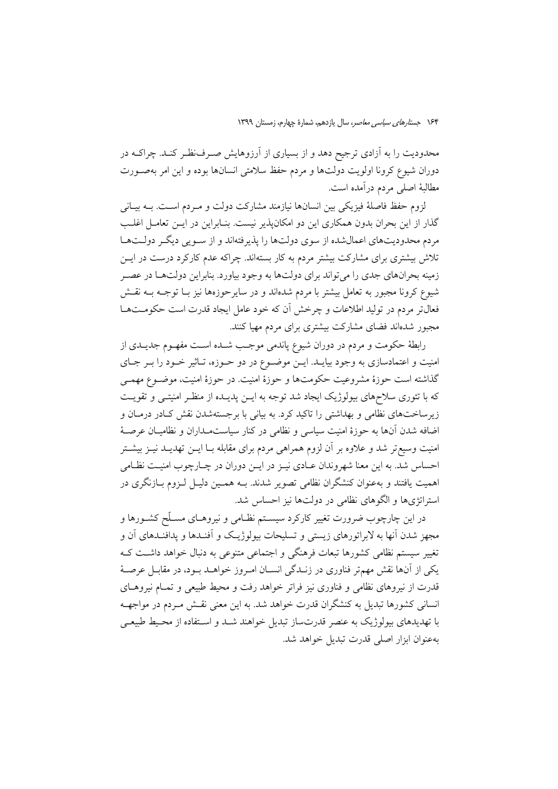محدودیت را به آزادی ترجیح دهد و از بسیاری از آرزوهایش صـرف'ظـر کنـد. چراکــه در دوران شیوع کرونا اولویت دولتها و مردم حفظ سلامتی انسانها بوده و این امر بهصـورت مطالبهٔ اصلی مردم درآمده است.

لزوم حفظ فاصلهٔ فیزیکی بین انسانها نیازمند مشارکت دولت و مـردم اسـت. بــه بیــانی گذار از این بحران بدون همکاری این دو امکانپذیر نیست. بنـابراین در ایــن تعامــل اغلــب مردم محدودیتهای اعمالشده از سوی دولتها را پذیرفتهاند و از سـویی دیگـر دولــتهـا تلاش بیشتری برای مشارکت بیشتر مردم به کار بستهاند. چراکه عدم کارکرد درست در ایــن زمینه بحرانهای جدی را می تواند برای دولتها به وجود بیاورد. بنابراین دولتها در عصـر شیوع کرونا مجبور به تعامل بیشتر با مردم شدهاند و در سایرحوزهها نیز بــا توجــه بــه نقــش فعال تر مردم در تولید اطلاعات و چرخش آن که خود عامل ایجاد قدرت است حکومـتهـا مجبور شدهاند فضای مشارکت بیشتری برای مردم مهیا کنند.

رابطهٔ حکومت و مردم در دوران شیوع یاندمی موجـب شــده اســت مفهــوم جدیــدی از امنیت و اعتمادسازی به وجود بیایــد. ایــن موضــوع در دو حــوزه، تــاثیر خــود را بــر جــای گذاشته است حوزهٔ مشروعیت حکومتها و حوزهٔ امنیت. در حوزهٔ امنیت، موضـوع مهمـی که با تئوری سلاحهای بیولوژیک ایجاد شد توجه به ایــن پدیــده از منظـر امنیتــی و تقویــت زیرساختهای نظامی و بهداشتی را تاکید کرد. به بیانی با برجستهشدن نقش کـادر درمـان و اضافه شدن آنها به حوزهٔ امنیت سیاسی و نظامی در کنار سیاستمـداران و نظامیـان عرصـهٔ امنیت وسیع تر شد و علاوه بر آن لزوم همراهی مردم برای مقابله بــا ایـــن تهدیــد نیــز بیشــتر احساس شد. به این معنا شهروندان عـادی نیـز در ایــن دوران در چــارچوب امنیــت نظــامی اهمیت یافتند و بهعنوان کنشگران نظامی تصویر شدند. بـه همـین دلیـل لـزوم بـازنگری در استراتژیها و الگوهای نظامی در دولتها نیز احساس شد.

در این چارچوب ضرورت تغییر کارکرد سیســتم نظــامی و نیروهــای مســلّح کشــورها و مجهز شدن آنها به لابراتورهای زیستی و تسلیحات بیولوژیک و آفنـدها و پدافنـدهای آن و تغییر سیستم نظامی کشورها تبعات فرهنگی و اجتماعی متنوعی به دنبال خواهد داشـت کـه یکی از آنها نقش مهمتر فناوری در زنـدگی انســان امـروز خواهــد بــود، در مقابــل عرصــهٔ قدرت از نیروهای نظامی و فناوری نیز فراتر خواهد رفت و محیط طبیعی و تمـام نیروهــای انسانی کشورها تبدیل به کنشگران قدرت خواهد شد. به این معنی نقـش مـردم در مواجهــه با تهدیدهای بیولوژیک به عنصر قدرتساز تبدیل خواهند شـد و اسـتفاده از محـیط طبیعـی به عنوان ابزار اصلی قدرت تبدیل خواهد شد.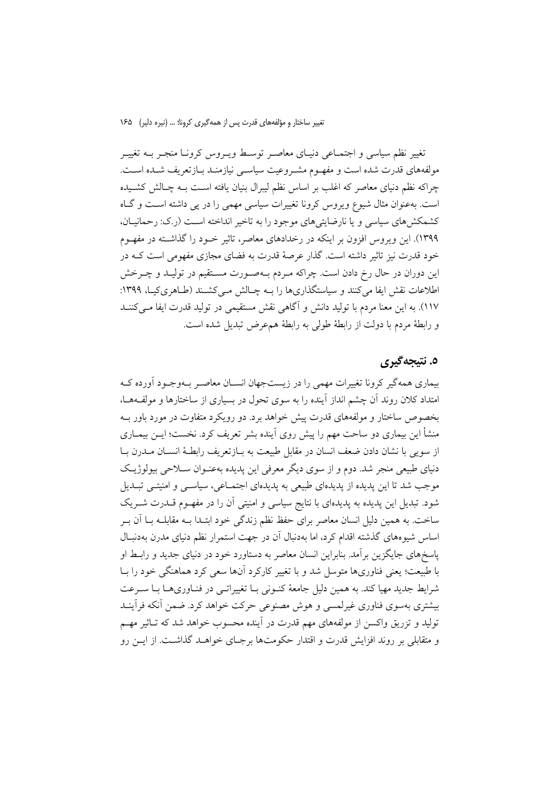تغییر نظم سیاسی و اجتمــاعی دنیــای معاصــر توســط ویــروس کرونــا منجــر بــه تغییــر مولفههای قدرت شده است و مفهـوم مشـروعیت سیاسـی نیازمنـد بـازتعریف شـده اسـت. چراکه نظم دنیای معاصر که اغلب بر اساس نظم لیبرال بنیان یافته اسـت بـه چـالش کشـیده است. بهعنوان مثال شیوع ویروس کرونا تغییرات سیاسی مهمی را در پی داشته است و گاه کشمکش های سیاسی و یا نارضایتی های موجود را به تاخیر انداخته است (ر.ک: رحمانیـان، ۱۳۹۹). این ویروس افزون بر اینکه در رخدادهای معاصر، تاثیر خـود را گذاشته در مفهـوم خود قدرت نیز تاثیر داشته است. گذار عرصهٔ قدرت به فضای مجازی مفهومی است کـه در این دوران در حال رخ دادن است. چراکه مـردم بـهصـورت مسـتقیم در تولیـد و چـرخش اطلاعات نقش ایفا میکنند و سیاستگذاریها را بـه چـالش مـیکشـند (طـاهریکیـا، ۱۳۹۹: ١١٧). به اين معنا مردم با توليد دانش و أگاهي نقش مستقيمي در توليد قدرت ايفا مـي كننــد و رابطهٔ مردم با دولت از رابطهٔ طولی به رابطهٔ همءرض تبدیل شده است.

## ٥. نتيجه گيري

بیماری همه گیر کرونا تغییرات مهمی را در زیستجهان انســان معاصـر بــهوجــود أورده کــه امتداد کلان روند آن چشم انداز آینده را به سوی تحول در بسیاری از ساختارها و مولفـههـا، بخصوص ساختار و مولفههای قدرت پیش خواهد برد. دو رویکرد متفاوت در مورد باور بـه منشأ این بیماری دو ساحت مهم را پیش روی آینده بشر تعریف کرد. نخست؛ ایــن بیمــاری از سویی با نشان دادن ضعف انسان در مقابل طبیعت به بـازتعریف رابطـهٔ انسـان مــدرن بـا دنیای طبیعی منجر شد. دوم و از سوی دیگر معرفی این پدیده بهعنـوان سـلاحی بیولوژیـک موجب شد تا این پدیده از پدیدهای طبیعی به پدیدهای اجتمـاعی، سیاســی و امنیتــی تبــدیل شود. تبدیل این پدیده به پدیدهای با نتایج سیاسی و امنیتی آن را در مفهـوم قــدرت شــریک ساخت. به همین دلیل انسان معاصر برای حفظ نظم زندگی خود ابتـدا بـه مقابلـه بــا اَن بــر اساس شیوههای گذشته اقدام کرد، اما بهدنبال آن در جهت استمرار نظم دنیای مدرن بهدنبـال پاسخهای جایگزین برآمد. بنابراین انسان معاصر به دستاورد خود در دنیای جدید و رابـط او با طبیعت؛ یعنی فناوریها متوسل شد و با تغییر کارکرد آنها سعی کرد هماهنگی خود را بــا شرایط جدید مهیا کند. به همین دلیل جامعهٔ کنـونی بــا تغییراتــی در فنــاوریهــا بــا ســرعت بیشتری بهسوی فناوری غیرلمسی و هوش مصنوعی حرکت خواهد کرد. ضمن آنکه فرأینــد تولید و تزریق واکسن از مولفههای مهم قدرت در آینده محسوب خواهد شد که تـاثیر مهـم و متقابلی بر روند افزایش قدرت و اقتدار حکومتها برجـای خواهــد گذاشــت. از ایــن رو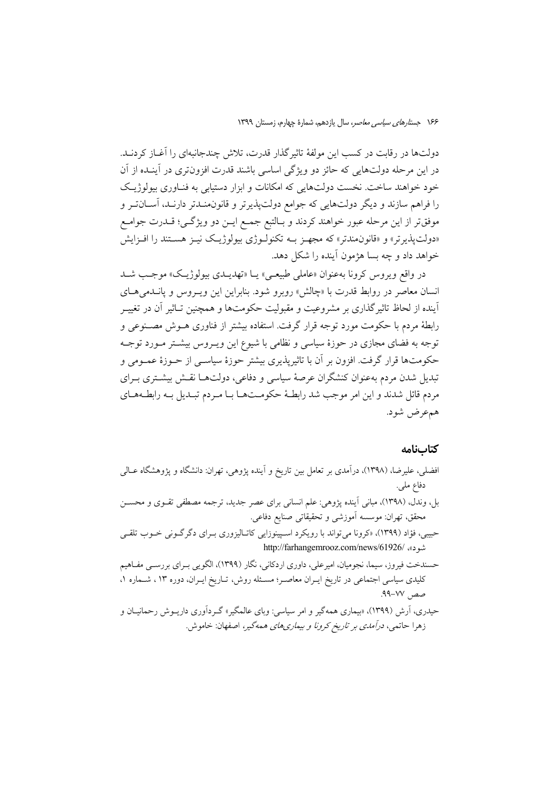دولتها در رقابت در کسب این مولفهٔ تاثیر گذار قدرت، تلاش چندجانبهای را آغــاز کردنــد. در این مرحله دولتهایی که حائز دو ویژگی اساسی باشند قدرت افزونتری در آینـده از آن خود خواهند ساخت. نخست دولتهایی که امکانات و ابزار دستیابی به فنـاوری بیولوژیـک را فراهم سازند و دیگر دولتهایی که جوامع دولتپذیرتر و قانونهنـدتر دارنـد، آسـانتـر و موفق تر از این مرحله عبور خواهند کردند و بـالتبع جمـع ایــن دو ویژگــی؛ قــدرت جوامــع «دولتپذیرتر» و «قانونهندتر» که مجهـز بــه تکنولــوژی بیولوژیــک نیــز هســتند را افــزایش خواهد داد و چه بسا هژمون آینده را شکل دهد.

در واقع ويروس كرونا بهعنوان «عاملي طبيعـي» يــا «تهديــدي بيولوژيــك» موجــب شــد انسان معاصر در روابط قدرت با «چالش» روبرو شود. بنابراین این ویـروس و پانــدمی هــای آینده از لحاظ تاثیر گذاری بر مشروعیت و مقبولیت حکومتها و همچنین تـاثیر آن در تغییــر رابطهٔ مردم با حکومت مورد توجه قرار گرفت. استفاده بیشتر از فناوری هــوش مصــنوعی و توجه به فضای مجازی در حوزهٔ سیاسی و نظامی با شیوع این ویبروس پشتر میورد توجیه حکومتها قرار گرفت. افزون بر آن با تاثیریذیری بیشتر حوزهٔ سیاسـی از حــوزهٔ عمــومی و تبدیل شدن مردم بهعنوان کنشگران عرصهٔ سیاسی و دفاعی، دولتهـا نقـش بیشـتری بـرای مردم قائل شدند و این امر موجب شد رابطـهٔ حکومــتهــا بــا مــردم تبــدیل بــه رابطــههــای همءِ ض شود.

## كتابنامه

- افضلی، علیرضا، (۱۳۹۸)، درآمدی بر تعامل بین تاریخ و آینده پژوهی، تهران: دانشگاه و پژوهشگاه عــالی دفاع ملي.
- بل، وندل، (١٣٩٨)، مبانی آینده پژوهی: علم انسانی برای عصر جدید، ترجمه مصطفی تقـوی و محســن محقق، تهران: موسسه آموزشی و تحقیقاتی صنایع دفاعی.
- حبیبی، فؤاد (۱۳۹۹)، «کرونا می تواند با رویکرد اسـپینوزایی کاتـالیزوری بـرای دگرگـونی خـوب تلقـی شود»، /http://farhangemrooz.com/news/61926
- حسندخت فيروز، سيما، نجوميان، اميرعلي، داوري اردكاني، نگار (١٣٩٩)، الگويبي بـراي بررســي مفــاهيم کلیدی سیاسی اجتماعی در تاریخ ایـران معاصـر؛ مسـئله روش، تـاریخ ایـران، دوره ۱۳ ، شـماره ۱. صص ٧٧-٩٩. حیدری، آرش (۱۳۹۹)، «بیماری همهگیر و امر سیاسی: وبای عالمگیر » گـردآوری داریــوش رحمانیــان و
	- زهرا حاتمی، *درآمدی بر تاریخ کرونا و بیماریهای همهگیر*، اصفهان: خاموش.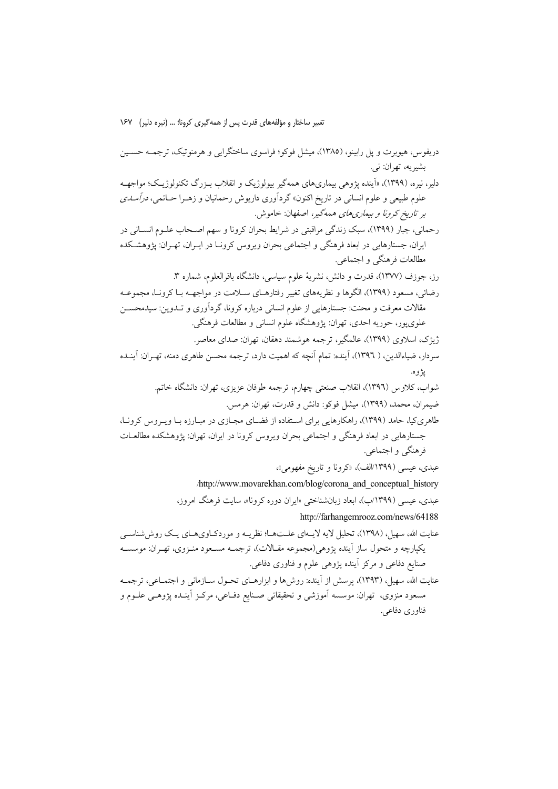دریفوس، هیویرت و پل رابینو، (۱۳۸۵)، میشل فوکو؛ فراسوی ساختگرایی و هرمنوتیک، ترجمـه حسـین بشيريه، تهران: ني. دلیر، نیره، (۱۳۹۹)، «اَینده پژوهی بیماریهای همهگیر بیولوژیک و انقلاب بـزرگ تکنولوژیـک؛ مواجهــه علوم طبیعی و علوم انسانی در تاریخ اکنون» گردآوری داریوش رحمانیان و زهــرا حــاتمی، *درآمــلـن*ی بر تاریخ کرونا و بیماری های همهگیر، اصفهان: خاموش. رحماني، جبار (١٣٩٩)، سبک زندگي مراقبتي در شرايط بحران كرونا و سهم اصـحاب علــوم انســاني در ایران، جستارهایی در ابعاد فرهنگی و اجتماعی بحران ویروس کرونـا در ایــران، تهــران: پژوهشــکده مطالعات فرهنگي و اجتماعي. رز، جوزف (١٣٧٧)، قدرت و دانش، نشريهٔ علوم سياسي، دانشگاه باقرالعلوم، شماره ٣. رضائی، مسعود (۱۳۹۹)، الگوها و نظریههای تغییر رفتارهـای سـلامت در مواجهـه بـا کرونـا، مجموعـه مقالات معرفت و محنت: جستارهایی از علوم انسانی درباره کرونا، گردآوری و تــدوین: سیدمحســن علوي يور، حوريه احدي، تهران: يژوهشگاه علوم انساني و مطالعات فرهنگي. ژيژک، اسلاوي (۱۳۹۹)، عالمگير، ترجمه هوشمند دهقان، تهران: صداي معاصر. سردار، ضیاءالدین، ( ١٣٩٦)، آینده: تمام آنچه که اهمیت دارد، ترجمه محسن طاهری دمنه، تهـران: آینـده پڙوه. شواب، كلاوس (١٣٩٦)، انقلاب صنعتي چهارم، ترجمه طوفان عزيزي، تهران: دانشگاه خاتم. ضيمران، محمد، (١٣٩٩)، ميشل فوكو: دانش و قدرت، تهران: هرمس. طاهری کیا، حامد (۱۳۹۹)، راهکارهایی برای استفاده از فضـای مجـازی در مبـارزه بـا ویــروس کرونـا، جستارهایی در ابعاد فرهنگی و اجتماعی بحران ویروس کرونا در ایران، تهران: یژوهشکده مطالعــات فرهنگي و اجتماعي. عبدی، عیسی (۱۳۹۹/الف)، «کرونا و تاریخ مفهومی»، /http://www.movarekhan.com/blog/corona\_and\_conceptual\_history عبدي، عيسى (١٣٩٩/ب)، ابعاد زبان شناختي «ايران دوره كرونا»، سايت فرهنگ امروز، http://farhangemrooz.com/news/64188 عنایت الله، سهیل، (۱۳۹۸)، تحلیل لایه لایـهای علـتهـا؛ نظریـه و موردکـاویهـای یـک روش(شناسـی يكپارچه و متحول ساز آينده پژوهي(مجموعه مقـالات)، ترجمــه مسـعود منــزوى، تهــران: موسســه صنایع دفاعی و مرکز آینده پژوهی علوم و فناوری دفاعی. عنايت الله، سهيل، (١٣٩٣)، پرسش از اّينده: روش١ها و ابزارهـاي تحـول ســازماني و اجتمــاعي، ترجمــه مسعود منزوی، تهران: موسسه آموزشی و تحقیقاتی صـنایع دفـاعی، مرکـز آینـده پژوهـی علــوم و فناوري دفاعي.